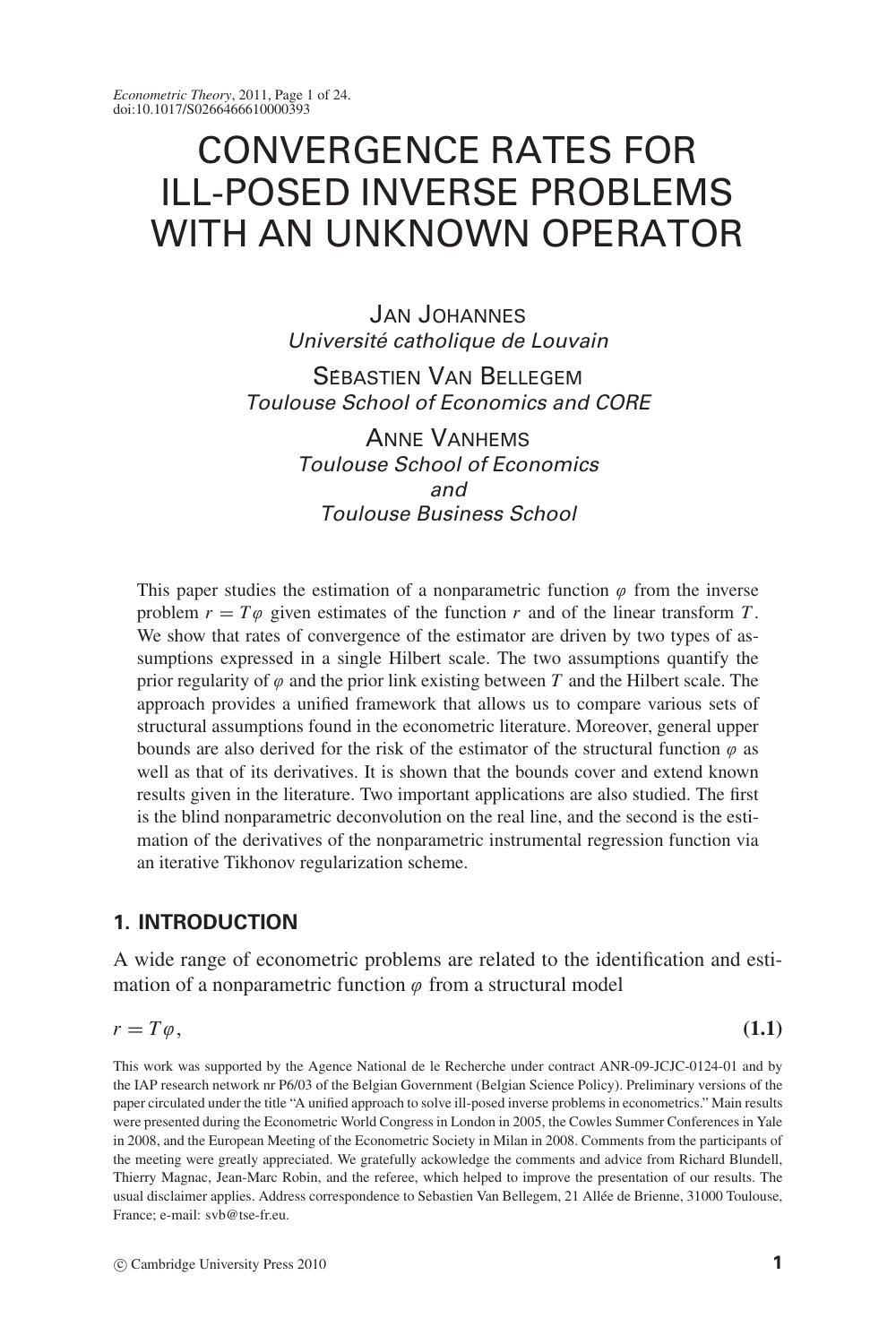# CONVERGENCE RATES FOR ILL-POSED INVERSE PROBLEMS WITH AN UNKNOWN OPERATOR

JAN JOHANNES Université catholique de Louvain

SEBASTIEN VAN BELLEGEM Toulouse School of Economics and CORE

> ANNE VANHEMS Toulouse School of Economics and Toulouse Business School

This paper studies the estimation of a nonparametric function  $\varphi$  from the inverse problem  $r = T\omega$  given estimates of the function r and of the linear transform T. We show that rates of convergence of the estimator are driven by two types of assumptions expressed in a single Hilbert scale. The two assumptions quantify the prior regularity of  $\varphi$  and the prior link existing between *T* and the Hilbert scale. The approach provides a unified framework that allows us to compare various sets of structural assumptions found in the econometric literature. Moreover, general upper bounds are also derived for the risk of the estimator of the structural function  $\varphi$  as well as that of its derivatives. It is shown that the bounds cover and extend known results given in the literature. Two important applications are also studied. The first is the blind nonparametric deconvolution on the real line, and the second is the estimation of the derivatives of the nonparametric instrumental regression function via an iterative Tikhonov regularization scheme.

## **1. INTRODUCTION**

A wide range of econometric problems are related to the identification and estimation of a nonparametric function  $\varphi$  from a structural model

$$
r = T\varphi,\tag{1.1}
$$

This work was supported by the Agence National de le Recherche under contract ANR-09-JCJC-0124-01 and by the IAP research network nr P6/03 of the Belgian Government (Belgian Science Policy). Preliminary versions of the paper circulated under the title "A unified approach to solve ill-posed inverse problems in econometrics." Main results were presented during the Econometric World Congress in London in 2005, the Cowles Summer Conferences in Yale in 2008, and the European Meeting of the Econometric Society in Milan in 2008. Comments from the participants of the meeting were greatly appreciated. We gratefully ackowledge the comments and advice from Richard Blundell, Thierry Magnac, Jean-Marc Robin, and the referee, which helped to improve the presentation of our results. The usual disclaimer applies. Address correspondence to Sebastien Van Bellegem, 21 Allee de Brienne, 31000 Toulouse, ´ France; e-mail: svb@tse-fr.eu.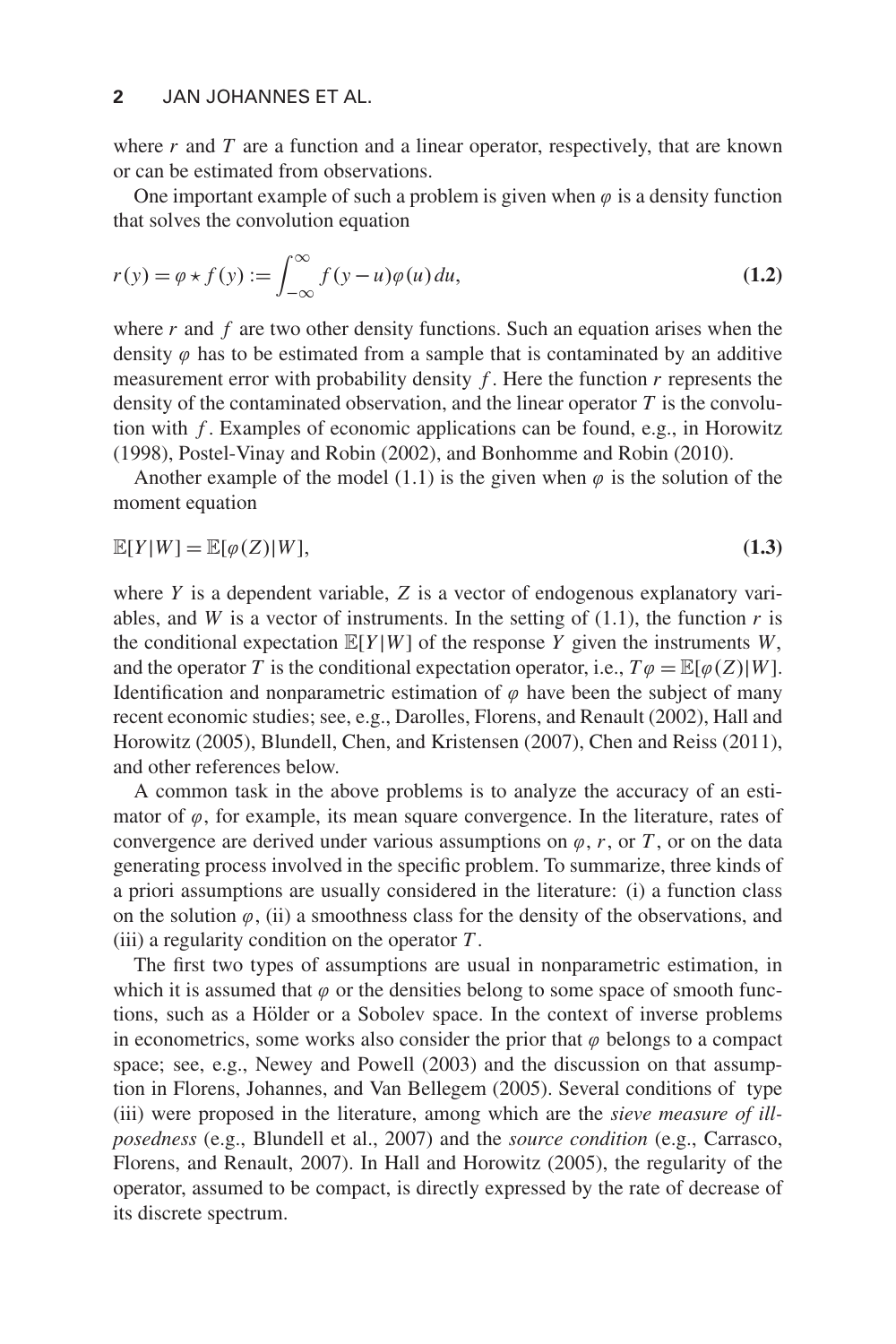#### **2** JAN JOHANNES ET AL.

where  $r$  and  $T$  are a function and a linear operator, respectively, that are known or can be estimated from observations.

One important example of such a problem is given when  $\varphi$  is a density function that solves the convolution equation

$$
r(y) = \varphi \star f(y) := \int_{-\infty}^{\infty} f(y - u)\varphi(u) du,
$$
\n(1.2)

where  $r$  and  $f$  are two other density functions. Such an equation arises when the density  $\varphi$  has to be estimated from a sample that is contaminated by an additive measurement error with probability density *f* . Here the function *r* represents the density of the contaminated observation, and the linear operator *T* is the convolution with *f* . Examples of economic applications can be found, e.g., in Horowitz (1998), Postel-Vinay and Robin (2002), and Bonhomme and Robin (2010).

Another example of the model (1.1) is the given when  $\varphi$  is the solution of the moment equation

$$
\mathbb{E}[Y|W] = \mathbb{E}[\varphi(Z)|W],\tag{1.3}
$$

where *Y* is a dependent variable, *Z* is a vector of endogenous explanatory variables, and *W* is a vector of instruments. In the setting of  $(1.1)$ , the function *r* is the conditional expectation  $\mathbb{E}[Y|W]$  of the response *Y* given the instruments *W*, and the operator *T* is the conditional expectation operator, i.e.,  $T\varphi = \mathbb{E}[\varphi(Z)|W]$ . Identification and nonparametric estimation of  $\varphi$  have been the subject of many recent economic studies; see, e.g., Darolles, Florens, and Renault (2002), Hall and Horowitz (2005), Blundell, Chen, and Kristensen (2007), Chen and Reiss (2011), and other references below.

A common task in the above problems is to analyze the accuracy of an estimator of  $\varphi$ , for example, its mean square convergence. In the literature, rates of convergence are derived under various assumptions on  $\varphi$ ,  $r$ , or  $T$ , or on the data generating process involved in the specific problem. To summarize, three kinds of a priori assumptions are usually considered in the literature: (i) a function class on the solution  $\varphi$ , (ii) a smoothness class for the density of the observations, and (iii) a regularity condition on the operator *T* .

The first two types of assumptions are usual in nonparametric estimation, in which it is assumed that  $\varphi$  or the densities belong to some space of smooth functions, such as a Hölder or a Sobolev space. In the context of inverse problems in econometrics, some works also consider the prior that  $\varphi$  belongs to a compact space; see, e.g., Newey and Powell (2003) and the discussion on that assumption in Florens, Johannes, and Van Bellegem (2005). Several conditions of type (iii) were proposed in the literature, among which are the *sieve measure of illposedness* (e.g., Blundell et al., 2007) and the *source condition* (e.g., Carrasco, Florens, and Renault, 2007). In Hall and Horowitz (2005), the regularity of the operator, assumed to be compact, is directly expressed by the rate of decrease of its discrete spectrum.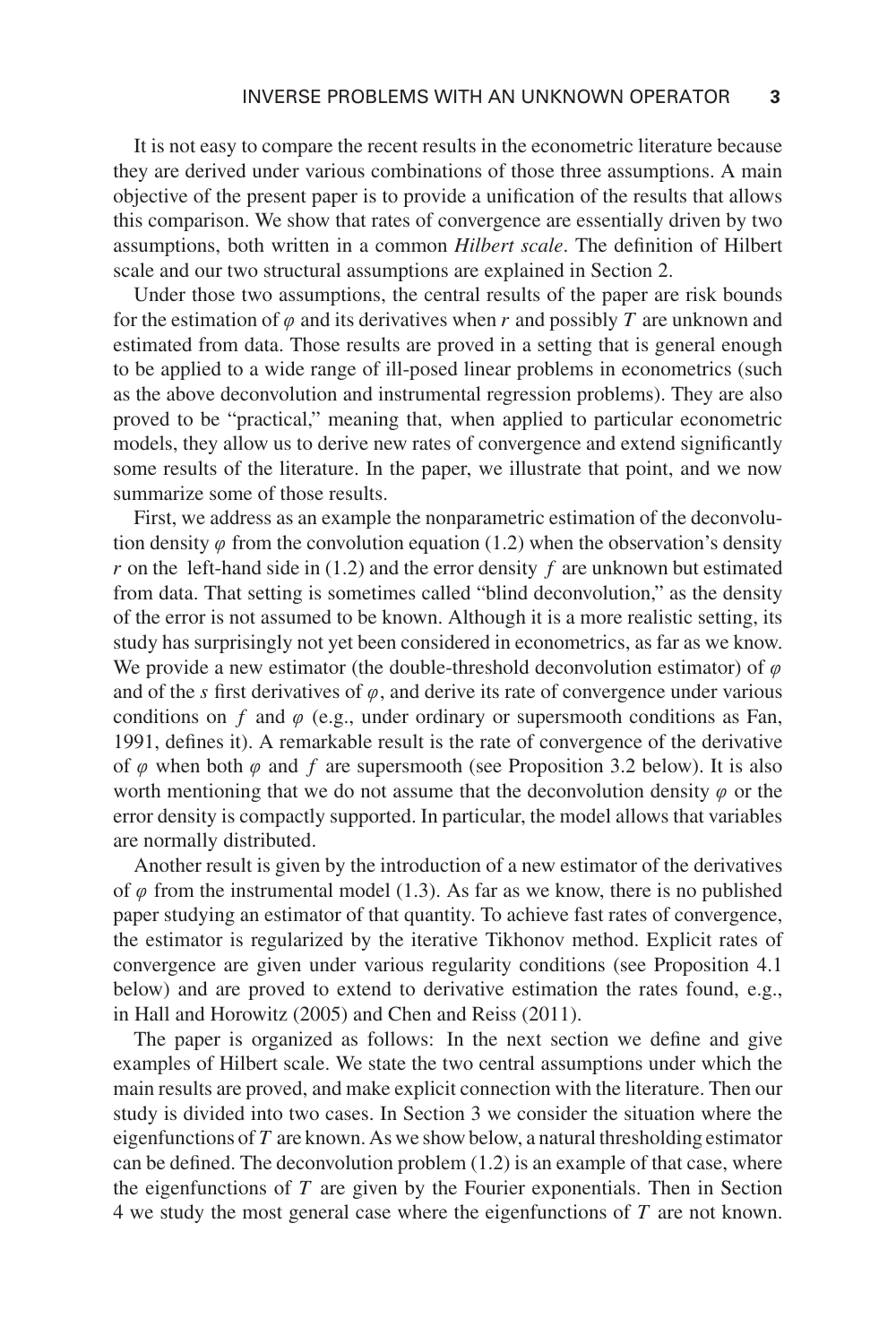It is not easy to compare the recent results in the econometric literature because they are derived under various combinations of those three assumptions. A main objective of the present paper is to provide a unification of the results that allows this comparison. We show that rates of convergence are essentially driven by two assumptions, both written in a common *Hilbert scale*. The definition of Hilbert scale and our two structural assumptions are explained in Section 2.

Under those two assumptions, the central results of the paper are risk bounds for the estimation of  $\varphi$  and its derivatives when r and possibly T are unknown and estimated from data. Those results are proved in a setting that is general enough to be applied to a wide range of ill-posed linear problems in econometrics (such as the above deconvolution and instrumental regression problems). They are also proved to be "practical," meaning that, when applied to particular econometric models, they allow us to derive new rates of convergence and extend significantly some results of the literature. In the paper, we illustrate that point, and we now summarize some of those results.

First, we address as an example the nonparametric estimation of the deconvolution density  $\varphi$  from the convolution equation (1.2) when the observation's density *r* on the left-hand side in (1.2) and the error density *f* are unknown but estimated from data. That setting is sometimes called "blind deconvolution," as the density of the error is not assumed to be known. Although it is a more realistic setting, its study has surprisingly not yet been considered in econometrics, as far as we know. We provide a new estimator (the double-threshold deconvolution estimator) of  $\varphi$ and of the *s* first derivatives of  $\varphi$ , and derive its rate of convergence under various conditions on  $f$  and  $\varphi$  (e.g., under ordinary or supersmooth conditions as Fan, 1991, defines it). A remarkable result is the rate of convergence of the derivative of  $\varphi$  when both  $\varphi$  and  $f$  are supersmooth (see Proposition 3.2 below). It is also worth mentioning that we do not assume that the deconvolution density  $\varphi$  or the error density is compactly supported. In particular, the model allows that variables are normally distributed.

Another result is given by the introduction of a new estimator of the derivatives of  $\varphi$  from the instrumental model (1.3). As far as we know, there is no published paper studying an estimator of that quantity. To achieve fast rates of convergence, the estimator is regularized by the iterative Tikhonov method. Explicit rates of convergence are given under various regularity conditions (see Proposition 4.1 below) and are proved to extend to derivative estimation the rates found, e.g., in Hall and Horowitz (2005) and Chen and Reiss (2011).

The paper is organized as follows: In the next section we define and give examples of Hilbert scale. We state the two central assumptions under which the main results are proved, and make explicit connection with the literature. Then our study is divided into two cases. In Section 3 we consider the situation where the eigenfunctions of *T* are known. As we show below, a natural thresholding estimator can be defined. The deconvolution problem  $(1.2)$  is an example of that case, where the eigenfunctions of *T* are given by the Fourier exponentials. Then in Section 4 we study the most general case where the eigenfunctions of *T* are not known.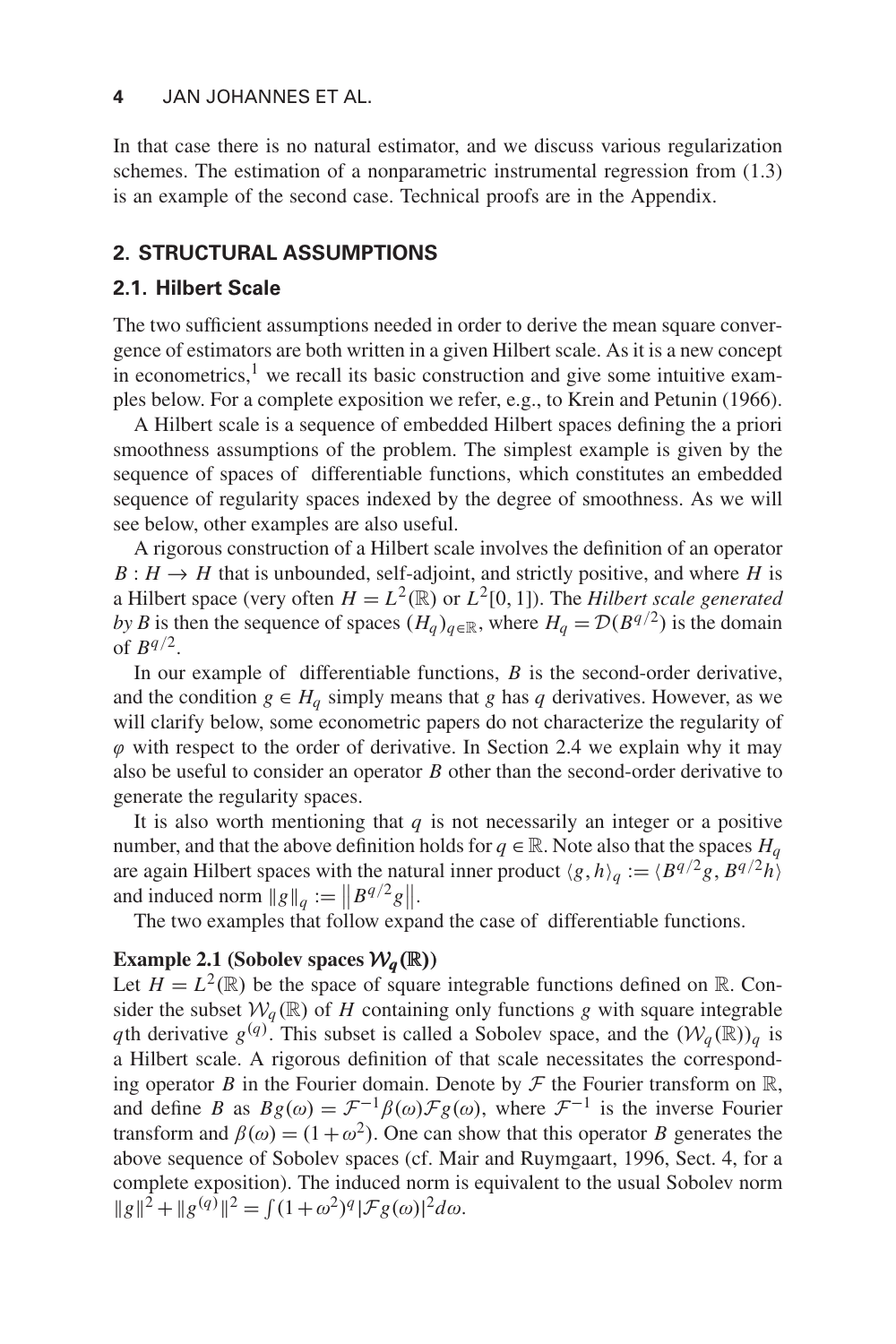#### **4** JAN JOHANNES ET AL.

In that case there is no natural estimator, and we discuss various regularization schemes. The estimation of a nonparametric instrumental regression from (1.3) is an example of the second case. Technical proofs are in the Appendix.

## **2. STRUCTURAL ASSUMPTIONS**

## **2.1. Hilbert Scale**

The two sufficient assumptions needed in order to derive the mean square convergence of estimators are both written in a given Hilbert scale. As it is a new concept in econometrics, $\frac{1}{x}$  we recall its basic construction and give some intuitive examples below. For a complete exposition we refer, e.g., to Krein and Petunin (1966).

A Hilbert scale is a sequence of embedded Hilbert spaces defining the a priori smoothness assumptions of the problem. The simplest example is given by the sequence of spaces of differentiable functions, which constitutes an embedded sequence of regularity spaces indexed by the degree of smoothness. As we will see below, other examples are also useful.

A rigorous construction of a Hilbert scale involves the definition of an operator  $B: H \to H$  that is unbounded, self-adjoint, and strictly positive, and where *H* is a Hilbert space (very often  $H = L^2(\mathbb{R})$  or  $L^2[0,1]$ ). The *Hilbert scale generated by B* is then the sequence of spaces  $(H_q)_{q \in \mathbb{R}}$ , where  $H_q = \mathcal{D}(B^{q/2})$  is the domain of  $B^{q/2}$ .

In our example of differentiable functions, *B* is the second-order derivative, and the condition  $g \in H_q$  simply means that *g* has *q* derivatives. However, as we will clarify below, some econometric papers do not characterize the regularity of  $\varphi$  with respect to the order of derivative. In Section 2.4 we explain why it may also be useful to consider an operator *B* other than the second-order derivative to generate the regularity spaces.

It is also worth mentioning that  $q$  is not necessarily an integer or a positive number, and that the above definition holds for  $q \in \mathbb{R}$ . Note also that the spaces  $H_q$ are again Hilbert spaces with the natural inner product  $\langle g, h \rangle_a := \langle B^{q/2}g, B^{q/2}h \rangle$ and induced norm  $\|g\|_q := \|B^{q/2}g\|.$ 

The two examples that follow expand the case of differentiable functions.

## **Example 2.1** (Sobolev spaces  $W_a(\mathbb{R})$ )

Let  $H = L^2(\mathbb{R})$  be the space of square integrable functions defined on  $\mathbb{R}$ . Consider the subset  $W_q(\mathbb{R})$  of *H* containing only functions *g* with square integrable *q*th derivative  $g^{(q)}$ . This subset is called a Sobolev space, and the  $(W_q(\mathbb{R}))_q$  is a Hilbert scale. A rigorous definition of that scale necessitates the corresponding operator *B* in the Fourier domain. Denote by  $\mathcal F$  the Fourier transform on  $\mathbb R$ , and define *B* as  $Bg(\omega) = \mathcal{F}^{-1}\beta(\omega)\mathcal{F}g(\omega)$ , where  $\mathcal{F}^{-1}$  is the inverse Fourier transform and  $\beta(\omega) = (1 + \omega^2)$ . One can show that this operator *B* generates the above sequence of Sobolev spaces (cf. Mair and Ruymgaart, 1996, Sect. 4, for a complete exposition). The induced norm is equivalent to the usual Sobolev norm  $||g||^2 + ||g^{(q)}||^2 = \int (1+\omega^2)^q |\mathcal{F}g(\omega)|^2 d\omega.$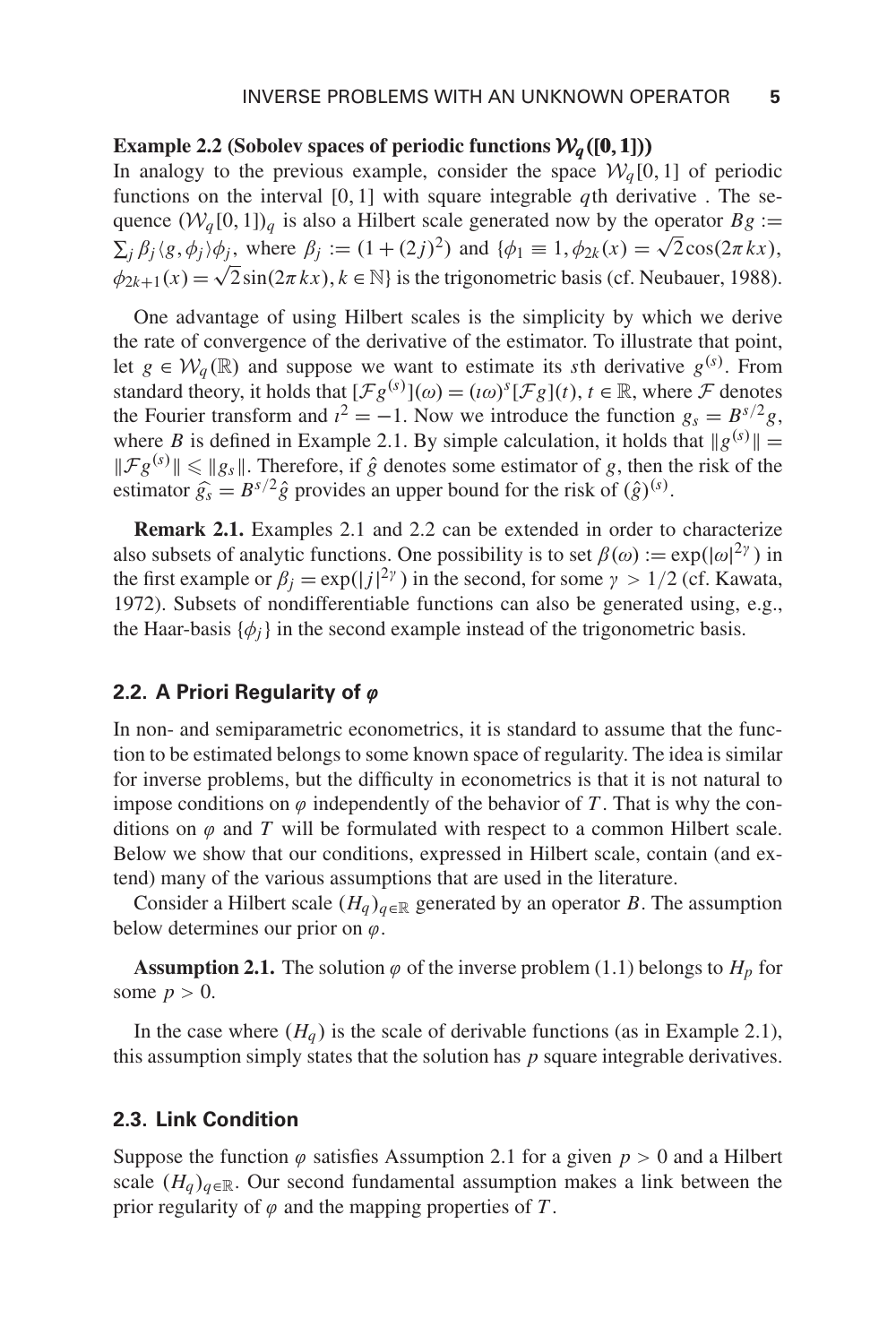#### **Example 2.2** (Sobolev spaces of periodic functions  $W_a([0,1])$ )

In analogy to the previous example, consider the space  $\mathcal{W}_q[0,1]$  of periodic functions on the interval [0,1] with square integrable *q*th derivative . The sequence  $(W_q[0,1])_q$  is also a Hilbert scale generated now by the operator  $Bg :=$  $\sum_i \beta_i \langle g, \phi_i \rangle \phi_j$ , where  $\beta_i := (1 + (2j)^2)$  and  $\{\phi_1 \equiv 1, \phi_{2k}(x) = \sqrt{2} \cos(2\pi kx),\}$  $\phi_{2k+1}(x) = \sqrt{2} \sin(2\pi kx), k \in \mathbb{N}$  is the trigonometric basis (cf. Neubauer, 1988).

One advantage of using Hilbert scales is the simplicity by which we derive the rate of convergence of the derivative of the estimator. To illustrate that point, let  $g \in \mathcal{W}_q(\mathbb{R})$  and suppose we want to estimate its *s*th derivative  $g^{(s)}$ . From standard theory, it holds that  $[\mathcal{F}g^{(s)}](\omega) = (\iota \omega)^s [\mathcal{F}g](t), t \in \mathbb{R}$ , where  $\mathcal F$  denotes the Fourier transform and  $i^2 = -1$ . Now we introduce the function  $g_s = B^{s/2}g$ , where *B* is defined in Example 2.1. By simple calculation, it holds that  $||g^{(s)}|| =$  $\|\mathcal{F}g^{(s)}\| \leq \|g_s\|$ . Therefore, if  $\hat{g}$  denotes some estimator of *g*, then the risk of the estimator  $\hat{g}_s = B^{s/2} \hat{g}$  provides an upper bound for the risk of  $(\hat{g})^{(s)}$ .

**Remark 2.1.** Examples 2.1 and 2.2 can be extended in order to characterize also subsets of analytic functions. One possibility is to set  $\beta(\omega) := \exp(|\omega|^{2\gamma})$  in the first example or  $\beta_j = \exp(|j|^{2\gamma})$  in the second, for some  $\gamma > 1/2$  (cf. Kawata, 1972). Subsets of nondifferentiable functions can also be generated using, e.g., the Haar-basis  $\{\phi_i\}$  in the second example instead of the trigonometric basis.

### **2.2. A Priori Regularity of**  $\varphi$

In non- and semiparametric econometrics, it is standard to assume that the function to be estimated belongs to some known space of regularity. The idea is similar for inverse problems, but the difficulty in econometrics is that it is not natural to impose conditions on  $\varphi$  independently of the behavior of T. That is why the conditions on  $\varphi$  and  $T$  will be formulated with respect to a common Hilbert scale. Below we show that our conditions, expressed in Hilbert scale, contain (and extend) many of the various assumptions that are used in the literature.

Consider a Hilbert scale  $(H_q)_{q \in \mathbb{R}}$  generated by an operator *B*. The assumption below determines our prior on  $\varphi$ .

**Assumption 2.1.** The solution  $\varphi$  of the inverse problem (1.1) belongs to  $H_p$  for some  $p > 0$ .

In the case where  $(H_q)$  is the scale of derivable functions (as in Example 2.1), this assumption simply states that the solution has *p* square integrable derivatives.

#### **2.3. Link Condition**

Suppose the function  $\varphi$  satisfies Assumption 2.1 for a given  $p > 0$  and a Hilbert scale  $(H_q)_{q \in \mathbb{R}}$ . Our second fundamental assumption makes a link between the prior regularity of  $\varphi$  and the mapping properties of T.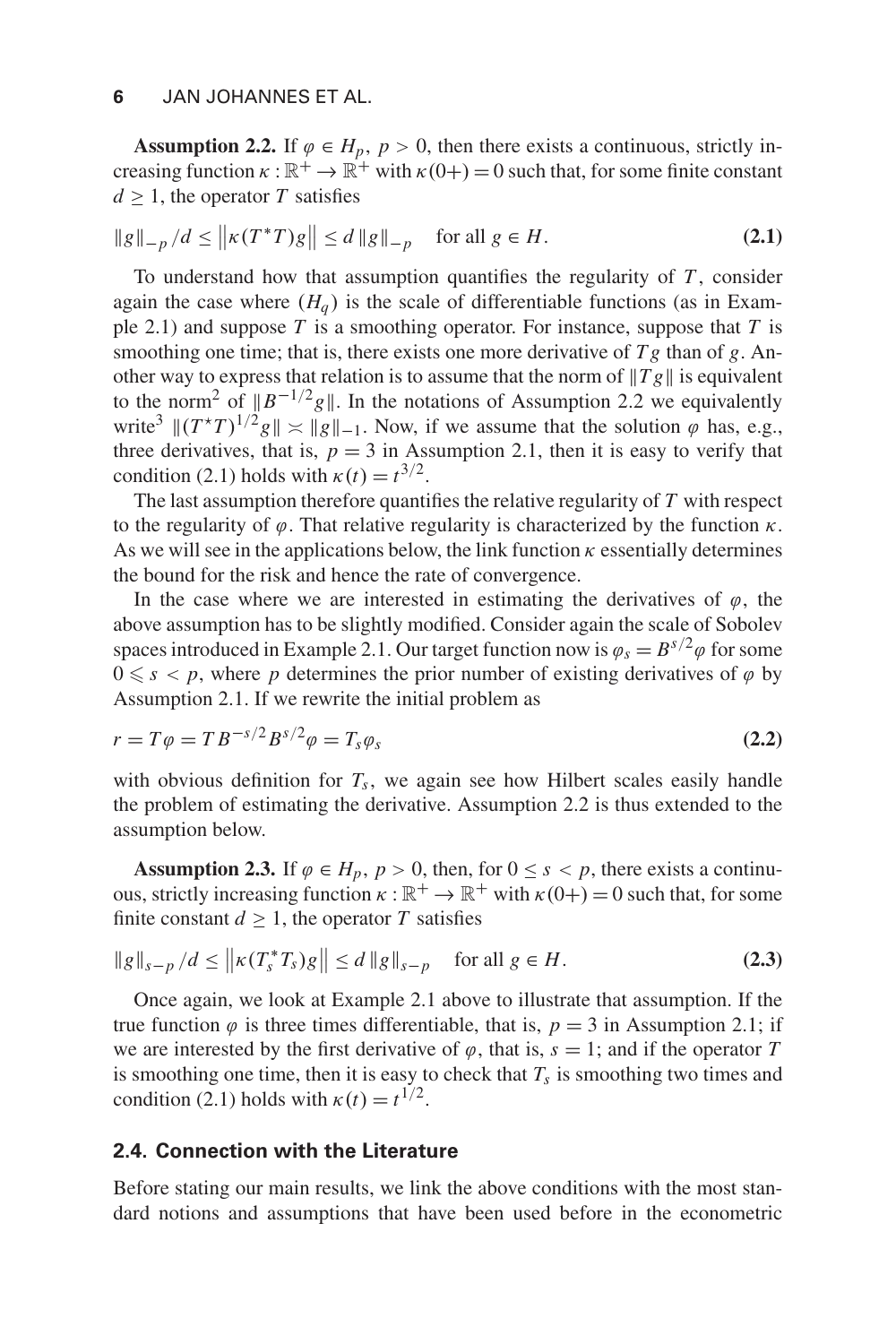**Assumption 2.2.** If  $\varphi \in H_p$ ,  $p > 0$ , then there exists a continuous, strictly increasing function  $\kappa : \mathbb{R}^+ \to \mathbb{R}^+$  with  $\kappa(0+)=0$  such that, for some finite constant  $d > 1$ , the operator *T* satisfies

$$
\|g\|_{-p}/d \le \left\| \kappa(T^*T)g \right\| \le d \, \|g\|_{-p} \quad \text{ for all } g \in H. \tag{2.1}
$$

To understand how that assumption quantifies the regularity of *T* , consider again the case where  $(H_a)$  is the scale of differentiable functions (as in Example 2.1) and suppose *T* is a smoothing operator. For instance, suppose that *T* is smoothing one time; that is, there exists one more derivative of  $Tg$  than of  $g$ . Another way to express that relation is to assume that the norm of  $||Tg||$  is equivalent to the norm<sup>2</sup> of  $||B^{-1/2}g||$ . In the notations of Assumption 2.2 we equivalently write<sup>3</sup>  $\|(T^*T)^{1/2}g\| \le ||g||_{-1}$ . Now, if we assume that the solution  $\varphi$  has, e.g., three derivatives, that is,  $p = 3$  in Assumption 2.1, then it is easy to verify that condition (2.1) holds with  $\kappa(t) = t^{3/2}$ .

The last assumption therefore quantifies the relative regularity of *T* with respect to the regularity of  $\varphi$ . That relative regularity is characterized by the function  $\kappa$ . As we will see in the applications below, the link function  $\kappa$  essentially determines the bound for the risk and hence the rate of convergence.

In the case where we are interested in estimating the derivatives of  $\varphi$ , the above assumption has to be slightly modified. Consider again the scale of Sobolev spaces introduced in Example 2.1. Our target function now is  $\varphi_s = B^{s/2} \varphi$  for some  $0 \leq s < p$ , where p determines the prior number of existing derivatives of  $\varphi$  by Assumption 2.1. If we rewrite the initial problem as

$$
r = T\varphi = T B^{-s/2} B^{s/2} \varphi = T_s \varphi_s
$$
 (2.2)

with obvious definition for  $T_s$ , we again see how Hilbert scales easily handle the problem of estimating the derivative. Assumption 2.2 is thus extended to the assumption below.

**Assumption 2.3.** If  $\varphi \in H_p$ ,  $p > 0$ , then, for  $0 \leq s < p$ , there exists a continuous, strictly increasing function  $\kappa : \mathbb{R}^+ \to \mathbb{R}^+$  with  $\kappa(0+) = 0$  such that, for some finite constant  $d > 1$ , the operator T satisfies

$$
\|g\|_{s-p}/d \le \left\| \kappa(T_s^* T_s)g \right\| \le d \left\| g \right\|_{s-p} \quad \text{for all } g \in H. \tag{2.3}
$$

Once again, we look at Example 2.1 above to illustrate that assumption. If the true function  $\varphi$  is three times differentiable, that is,  $p = 3$  in Assumption 2.1; if we are interested by the first derivative of  $\varphi$ , that is,  $s = 1$ ; and if the operator *T* is smoothing one time, then it is easy to check that  $T_s$  is smoothing two times and condition (2.1) holds with  $\kappa(t) = t^{1/2}$ .

## **2.4. Connection with the Literature**

Before stating our main results, we link the above conditions with the most standard notions and assumptions that have been used before in the econometric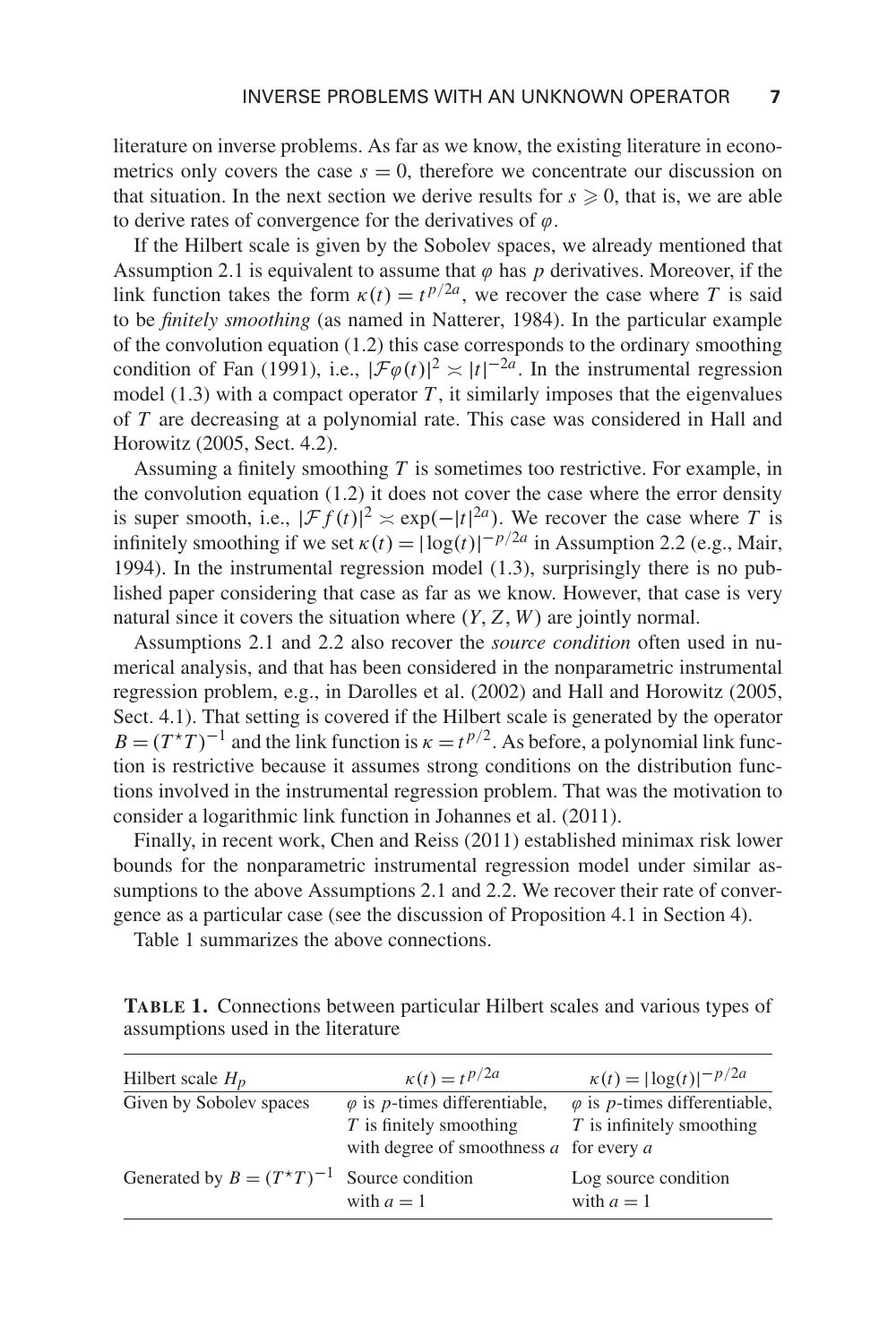literature on inverse problems. As far as we know, the existing literature in econometrics only covers the case  $s = 0$ , therefore we concentrate our discussion on that situation. In the next section we derive results for  $s \geq 0$ , that is, we are able to derive rates of convergence for the derivatives of  $\varphi$ .

If the Hilbert scale is given by the Sobolev spaces, we already mentioned that Assumption 2.1 is equivalent to assume that  $\varphi$  has  $p$  derivatives. Moreover, if the link function takes the form  $\kappa(t) = t^{p/2a}$ , we recover the case where *T* is said to be *finitely smoothing* (as named in Natterer, 1984). In the particular example of the convolution equation (1.2) this case corresponds to the ordinary smoothing condition of Fan (1991), i.e.,  $|\mathcal{F}\varphi(t)|^2 \asymp |t|^{-2a}$ . In the instrumental regression model  $(1.3)$  with a compact operator *T*, it similarly imposes that the eigenvalues of *T* are decreasing at a polynomial rate. This case was considered in Hall and Horowitz (2005, Sect. 4.2).

Assuming a finitely smoothing *T* is sometimes too restrictive. For example, in the convolution equation  $(1.2)$  it does not cover the case where the error density is super smooth, i.e.,  $|\mathcal{F}f(t)|^2 \approx \exp(-|t|^{2a})$ . We recover the case where *T* is infinitely smoothing if we set  $\kappa(t) = |\log(t)|^{-p/2a}$  in Assumption 2.2 (e.g., Mair, 1994). In the instrumental regression model (1.3), surprisingly there is no published paper considering that case as far as we know. However, that case is very natural since it covers the situation where (*Y*, *Z*,*W*) are jointly normal.

Assumptions 2.1 and 2.2 also recover the *source condition* often used in numerical analysis, and that has been considered in the nonparametric instrumental regression problem, e.g., in Darolles et al. (2002) and Hall and Horowitz (2005, Sect. 4.1). That setting is covered if the Hilbert scale is generated by the operator  $B = (T^*T)^{-1}$  and the link function is  $\kappa = t^{p/2}$ . As before, a polynomial link function is restrictive because it assumes strong conditions on the distribution functions involved in the instrumental regression problem. That was the motivation to consider a logarithmic link function in Johannes et al. (2011).

Finally, in recent work, Chen and Reiss (2011) established minimax risk lower bounds for the nonparametric instrumental regression model under similar assumptions to the above Assumptions 2.1 and 2.2. We recover their rate of convergence as a particular case (see the discussion of Proposition 4.1 in Section 4).

Table 1 summarizes the above connections.

| <b>TABLE 1.</b> Connections between particular Hilbert scales and various types of |  |  |  |  |
|------------------------------------------------------------------------------------|--|--|--|--|
| assumptions used in the literature                                                 |  |  |  |  |

| Hilbert scale $H_p$                             | $\kappa(t) = t^{p/2a}$                                                                                                   | $\kappa(t) =  \log(t) ^{-p/2a}$                                             |
|-------------------------------------------------|--------------------------------------------------------------------------------------------------------------------------|-----------------------------------------------------------------------------|
| Given by Sobolev spaces                         | $\varphi$ is <i>p</i> -times differentiable,<br>$T$ is finitely smoothing<br>with degree of smoothness $a$ for every $a$ | $\varphi$ is <i>p</i> -times differentiable,<br>$T$ is infinitely smoothing |
| Generated by $B = (T^*T)^{-1}$ Source condition | with $a=1$                                                                                                               | Log source condition<br>with $a=1$                                          |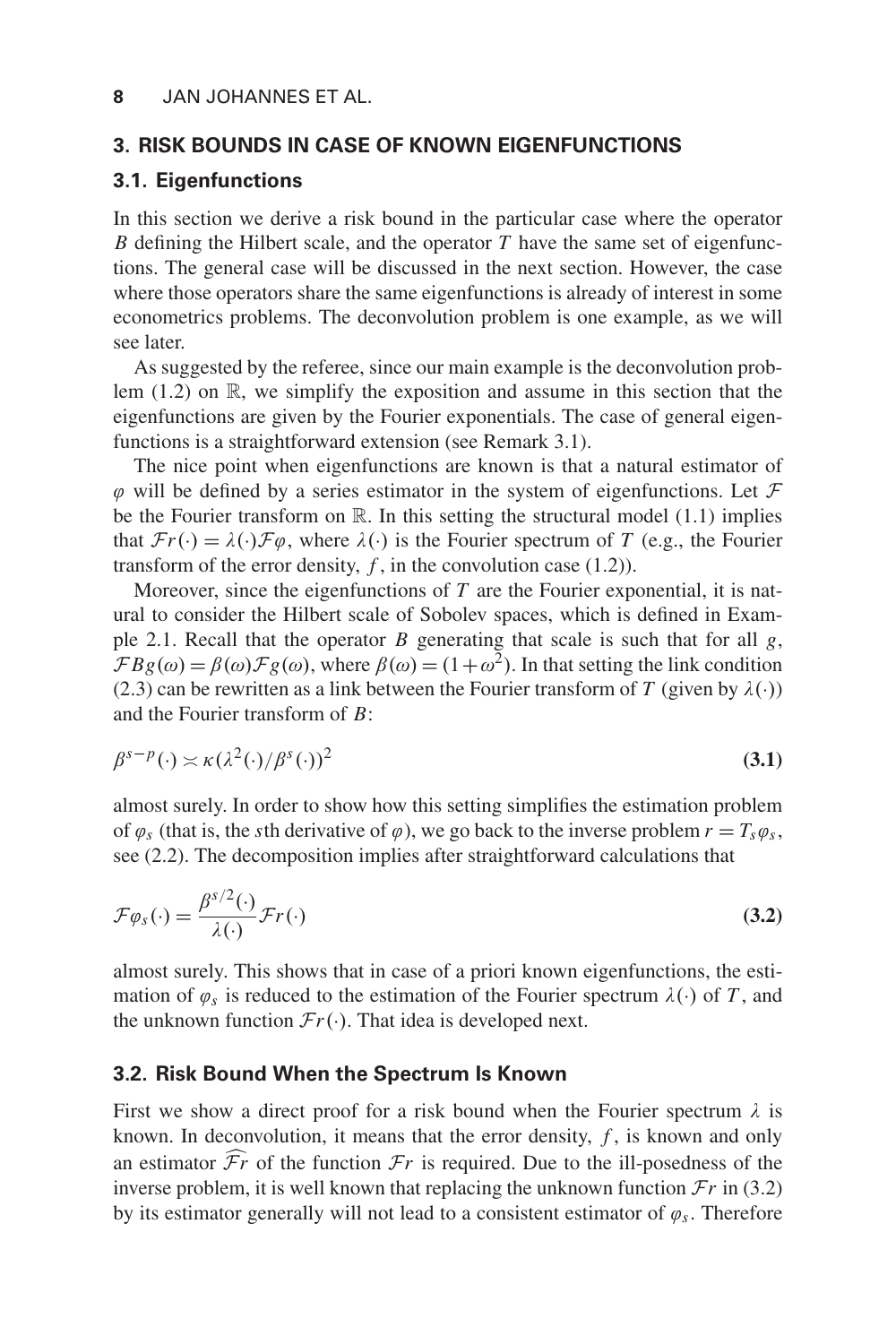## **3. RISK BOUNDS IN CASE OF KNOWN EIGENFUNCTIONS**

## **3.1. Eigenfunctions**

In this section we derive a risk bound in the particular case where the operator *B* defining the Hilbert scale, and the operator *T* have the same set of eigenfunctions. The general case will be discussed in the next section. However, the case where those operators share the same eigenfunctions is already of interest in some econometrics problems. The deconvolution problem is one example, as we will see later.

As suggested by the referee, since our main example is the deconvolution problem  $(1.2)$  on  $\mathbb{R}$ , we simplify the exposition and assume in this section that the eigenfunctions are given by the Fourier exponentials. The case of general eigenfunctions is a straightforward extension (see Remark 3.1).

The nice point when eigenfunctions are known is that a natural estimator of  $\varphi$  will be defined by a series estimator in the system of eigenfunctions. Let  $\mathcal F$ be the Fourier transform on  $\mathbb R$ . In this setting the structural model (1.1) implies that  $\mathcal{F}r(\cdot) = \lambda(\cdot)\mathcal{F}\varphi$ , where  $\lambda(\cdot)$  is the Fourier spectrum of *T* (e.g., the Fourier transform of the error density,  $f$ , in the convolution case  $(1.2)$ ).

Moreover, since the eigenfunctions of *T* are the Fourier exponential, it is natural to consider the Hilbert scale of Sobolev spaces, which is defined in Example 2.1. Recall that the operator *B* generating that scale is such that for all *g*,  $\mathcal{F} B g(\omega) = \beta(\omega) \mathcal{F} g(\omega)$ , where  $\beta(\omega) = (1 + \omega^2)$ . In that setting the link condition (2.3) can be rewritten as a link between the Fourier transform of *T* (given by  $\lambda(\cdot)$ ) and the Fourier transform of *B*:

$$
\beta^{s-p}(\cdot) \asymp \kappa (\lambda^2(\cdot)/\beta^s(\cdot))^2 \tag{3.1}
$$

almost surely. In order to show how this setting simplifies the estimation problem of  $\varphi_s$  (that is, the *s*th derivative of  $\varphi$ ), we go back to the inverse problem  $r = T_s \varphi_s$ , see (2.2). The decomposition implies after straightforward calculations that

$$
\mathcal{F}\varphi_s(\cdot) = \frac{\beta^{s/2}(\cdot)}{\lambda(\cdot)} \mathcal{F}r(\cdot)
$$
\n(3.2)

almost surely. This shows that in case of a priori known eigenfunctions, the estimation of  $\varphi_s$  is reduced to the estimation of the Fourier spectrum  $\lambda(\cdot)$  of *T*, and the unknown function  $\mathcal{F}r(\cdot)$ . That idea is developed next.

#### **3.2. Risk Bound When the Spectrum Is Known**

First we show a direct proof for a risk bound when the Fourier spectrum  $\lambda$  is known. In deconvolution, it means that the error density,  $f$ , is known and only an estimator  $\mathcal{F}r$  of the function  $\mathcal{F}r$  is required. Due to the ill-posedness of the inverse problem, it is well known that replacing the unknown function  $\mathcal{F}r$  in (3.2) by its estimator generally will not lead to a consistent estimator of  $\varphi_s$ . Therefore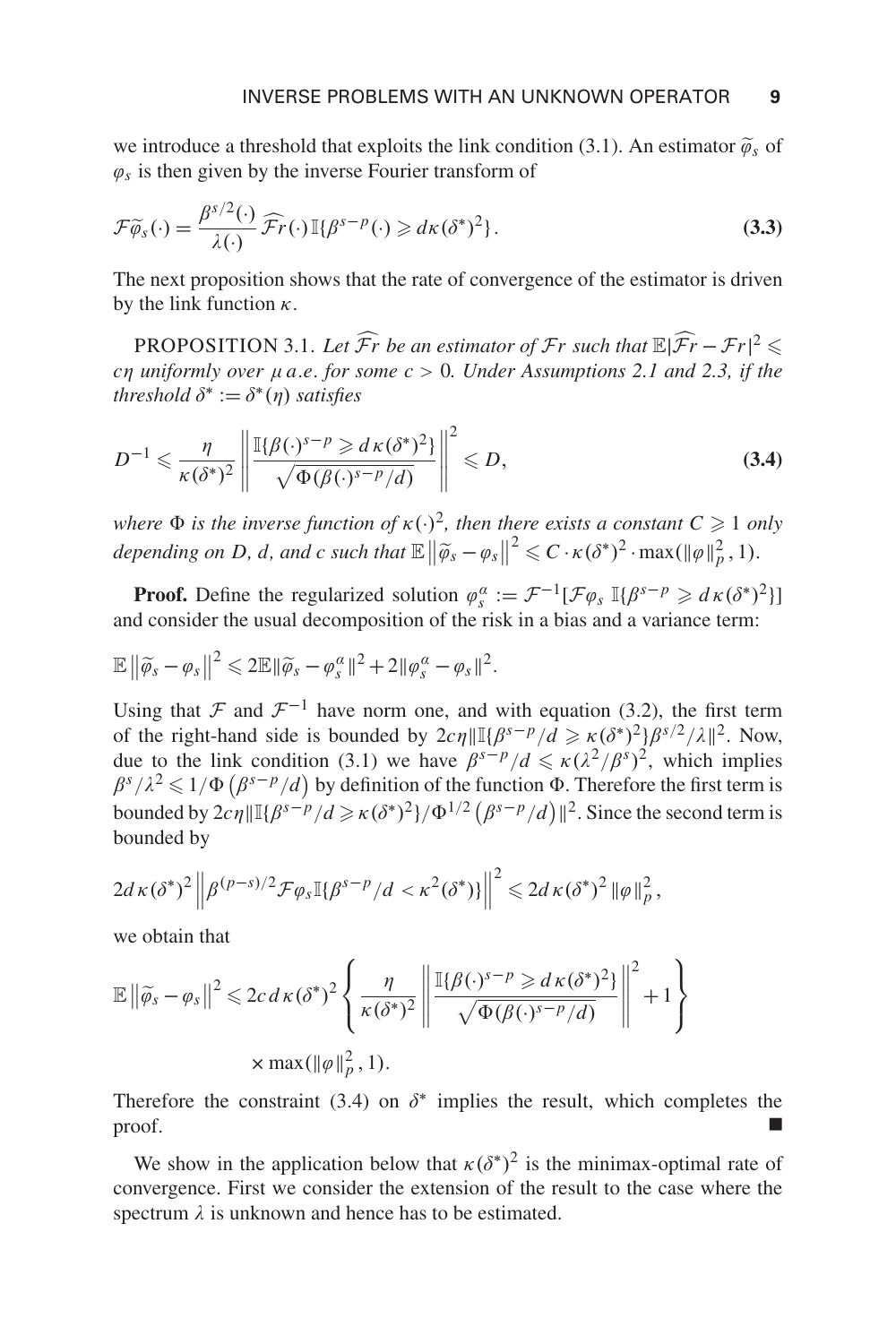we introduce a threshold that exploits the link condition (3.1). An estimator  $\tilde{\varphi}_s$  of  $\varphi_s$  is then given by the inverse Fourier transform of

$$
\mathcal{F}\widetilde{\varphi}_s(\cdot) = \frac{\beta^{s/2}(\cdot)}{\lambda(\cdot)} \widehat{\mathcal{F}}r(\cdot) \mathbb{I}\{\beta^{s-p}(\cdot) \geqslant d\kappa(\delta^*)^2\}.
$$
 (3.3)

The next proposition shows that the rate of convergence of the estimator is driven by the link function  $\kappa$ .

PROPOSITION 3.1. Let  $\widehat{F}$ *r* be an estimator of  $\mathcal{F}$ *r* such that  $\mathbb{E}|\widehat{\mathcal{F}}r - \mathcal{F}r|^2 \leq$ *c*η *uniformly over* μ*a*.*e*. *for some c* > 0*. Under Assumptions 2.1 and 2.3, if the threshold*  $\delta^* := \delta^*(\eta)$  *satisfies* 

$$
D^{-1} \leqslant \frac{\eta}{\kappa(\delta^*)^2} \left\| \frac{\mathbb{I}\{\beta(\cdot)^{s-p} \geqslant d\kappa(\delta^*)^2\}}{\sqrt{\Phi(\beta(\cdot)^{s-p}/d)}} \right\|^2 \leqslant D,
$$
\n(3.4)

*where*  $\Phi$  *is the inverse function of*  $\kappa(\cdot)^2$ *, then there exists a constant*  $C \geq 1$  *only* depending on D, d, and c such that  $\mathbb{E} \left\| \widetilde{\varphi}_s - \varphi_s \right\|^2 \leqslant C \cdot \kappa (\delta^*)^2 \cdot \max(\|\varphi\|_p^2, 1).$ 

**Proof.** Define the regularized solution  $\varphi_s^{\alpha} := \mathcal{F}^{-1}[\mathcal{F}\varphi_s \mathbb{I}\{\beta^{s-p} \geq d\kappa(\delta^*)^2\}]$ and consider the usual decomposition of the risk in a bias and a variance term:

$$
\mathbb{E}\left\|\widetilde{\varphi}_s-\varphi_s\right\|^2\leqslant 2\mathbb{E}\|\widetilde{\varphi}_s-\varphi_s^{\alpha}\|^2+2\|\varphi_s^{\alpha}-\varphi_s\|^2.
$$

Using that F and  $\mathcal{F}^{-1}$  have norm one, and with equation (3.2), the first term of the right-hand side is bounded by  $2c\eta \|\mathbb{I}\{\beta^{s-p}/d \geq \kappa(\delta^*)^2\} \beta^{s/2}/\lambda\|^2$ . Now, due to the link condition (3.1) we have  $\beta^{s-p}/d \le \kappa(\lambda^2/\beta^s)^2$ , which implies  $\beta^{s}/\lambda^{2} \leq 1/\Phi(\beta^{s-p}/d)$  by definition of the function  $\Phi$ . Therefore the first term is bounded by  $2c\eta \|\mathbb{I}\{\beta^{s-p}/d \geq \kappa(\delta^*)^2\}/\Phi^{1/2}(\beta^{s-p}/d)\|^2$ . Since the second term is bounded by

$$
2d\kappa(\delta^*)^2\left\|\beta^{(p-s)/2}\mathcal{F}\varphi_s\mathbb{I}\{\beta^{s-p}/d<\kappa^2(\delta^*)\}\right\|^2\leqslant 2d\kappa(\delta^*)^2\left\|\varphi\right\|_p^2,
$$

we obtain that

$$
\mathbb{E} \left\| \widetilde{\varphi}_s - \varphi_s \right\|^2 \leqslant 2c \, d \kappa (\delta^*)^2 \left\{ \frac{\eta}{\kappa (\delta^*)^2} \left\| \frac{\mathbb{I} \{ \beta(\cdot)^{s-p} \geqslant d \kappa (\delta^*)^2 \}}{\sqrt{\Phi(\beta(\cdot)^{s-p}/d)}} \right\|^2 + 1 \right\}
$$
  
\$\times \max(\|\varphi\|\_p^2, 1).

Therefore the constraint (3.4) on  $\delta^*$  implies the result, which completes the  $\Box$ 

We show in the application below that  $\kappa(\delta^*)^2$  is the minimax-optimal rate of convergence. First we consider the extension of the result to the case where the spectrum  $\lambda$  is unknown and hence has to be estimated.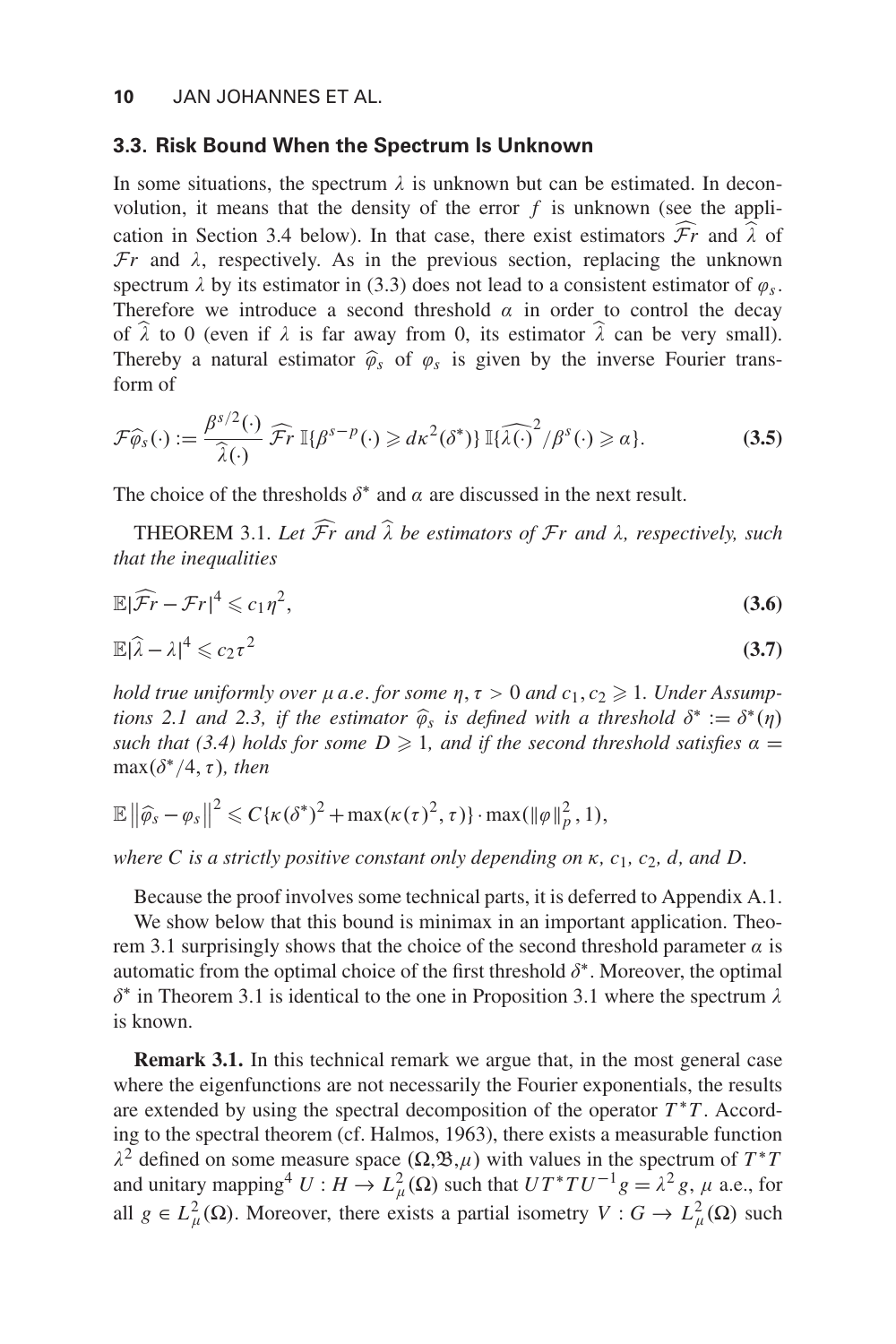#### **3.3. Risk Bound When the Spectrum Is Unknown**

In some situations, the spectrum  $\lambda$  is unknown but can be estimated. In deconvolution, it means that the density of the error *f* is unknown (see the application in Section 3.4 below). In that case, there exist estimators  $\mathcal{F}r$  and  $\lambda$  of  $\mathcal{F}r$  and  $\lambda$ , respectively. As in the previous section, replacing the unknown spectrum  $\lambda$  by its estimator in (3.3) does not lead to a consistent estimator of  $\varphi_s$ . Therefore we introduce a second threshold  $\alpha$  in order to control the decay of  $\hat{\lambda}$  to 0 (even if  $\lambda$  is far away from 0, its estimator  $\hat{\lambda}$  can be very small). Thereby a natural estimator  $\hat{\varphi}_s$  of  $\varphi_s$  is given by the inverse Fourier transform of

$$
\mathcal{F}\widehat{\varphi}_s(\cdot) := \frac{\beta^{s/2}(\cdot)}{\widehat{\lambda}(\cdot)} \widehat{\mathcal{F}}r \, \mathbb{I}\{\beta^{s-p}(\cdot) \geq d\kappa^2(\delta^*)\} \, \mathbb{I}\{\widehat{\lambda}(\cdot)^2/\beta^s(\cdot) \geq \alpha\}.
$$
 (3.5)

The choice of the thresholds  $\delta^*$  and  $\alpha$  are discussed in the next result.

THEOREM 3.1. *Let* F *r and* λ *be estimators of* F*r and* λ*, respectively, such that the inequalities*

$$
\mathbb{E}|\widehat{\mathcal{F}}r - \mathcal{F}r|^4 \leqslant c_1\eta^2,\tag{3.6}
$$

$$
\mathbb{E}|\widehat{\lambda} - \lambda|^4 \leqslant c_2 \tau^2 \tag{3.7}
$$

*hold true uniformly over*  $\mu$  *a.e. for some*  $\eta$ *,*  $\tau > 0$  *and*  $c_1, c_2 \geq 1$ *. Under Assumptions 2.1 and 2.3, if the estimator*  $\hat{\varphi}_s$  *is defined with a threshold*  $\delta^* := \delta^*(\eta)$ *such that (3.4) holds for some D*  $\geq$  *1, and if the second threshold satisfies*  $\alpha$  =  $\max(\delta^*/4, \tau)$ *, then* 

$$
\mathbb{E}\left\|\widehat{\varphi}_s-\varphi_s\right\|^2\leqslant C\{\kappa(\delta^*)^2+\max(\kappa(\tau)^2,\tau)\}\cdot\max(\|\varphi\|_p^2,1),
$$

*where C is a strictly positive constant only depending on* κ*, c*1*, c*2*, d, and D.*

Because the proof involves some technical parts, it is deferred to Appendix A.1.

We show below that this bound is minimax in an important application. Theorem 3.1 surprisingly shows that the choice of the second threshold parameter  $\alpha$  is automatic from the optimal choice of the first threshold  $\delta^*$ . Moreover, the optimal δ<sup>∗</sup> in Theorem 3.1 is identical to the one in Proposition 3.1 where the spectrum  $\lambda$ is known.

**Remark 3.1.** In this technical remark we argue that, in the most general case where the eigenfunctions are not necessarily the Fourier exponentials, the results are extended by using the spectral decomposition of the operator  $T^*T$ . According to the spectral theorem (cf. Halmos, 1963), there exists a measurable function  $\lambda^2$  defined on some measure space  $(\Omega, \mathfrak{B}, \mu)$  with values in the spectrum of  $T^*T$ and unitary mapping<sup>4</sup>  $U : H \to L^2_{\mu}(\Omega)$  such that  $UT^*TU^{-1}g = \lambda^2 g$ ,  $\mu$  a.e., for all  $g \in L^2_{\mu}(\Omega)$ . Moreover, there exists a partial isometry  $V : G \to L^2_{\mu}(\Omega)$  such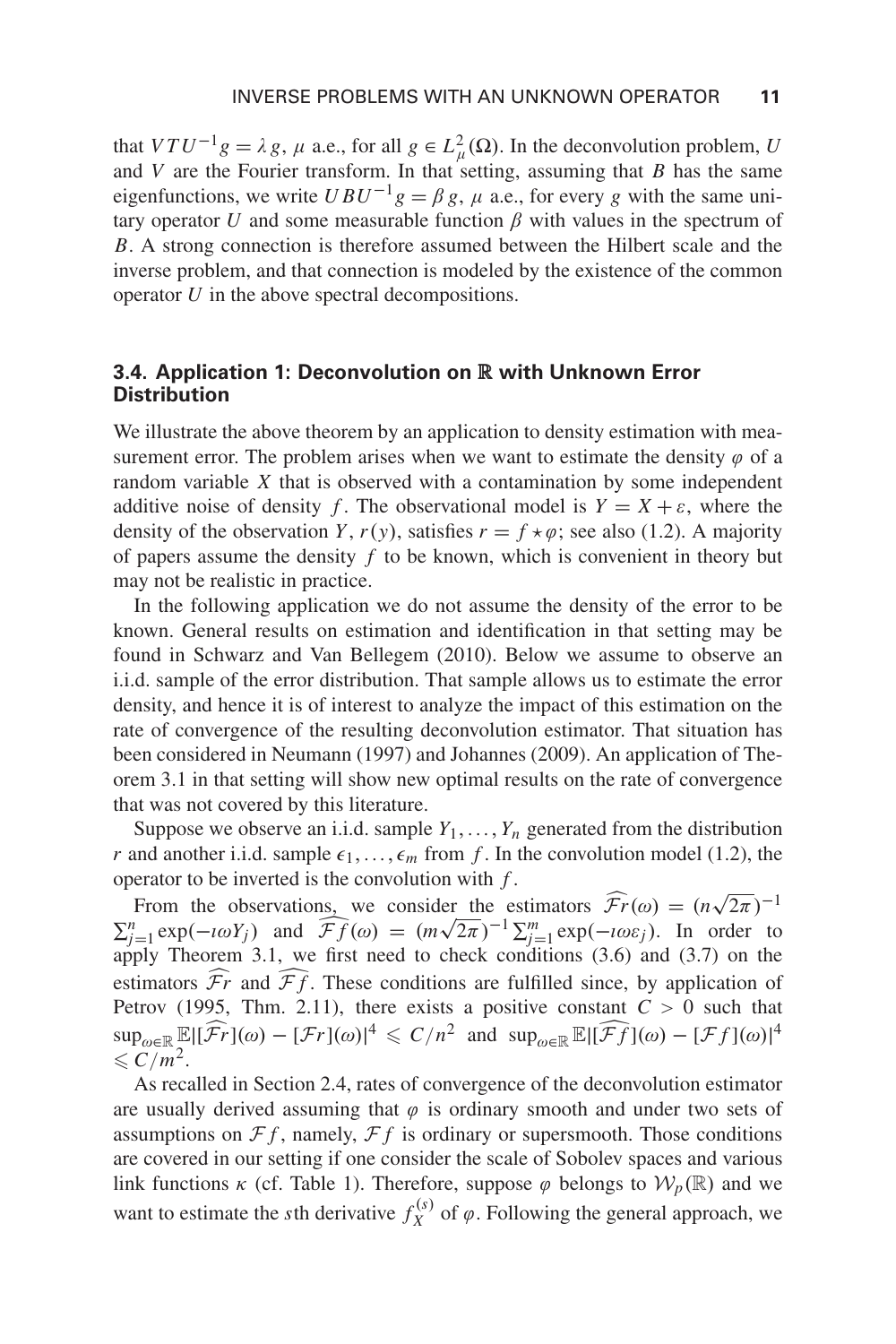that  $VTU^{-1}g = \lambda g$ ,  $\mu$  a.e., for all  $g \in L^2_{\mu}(\Omega)$ . In the deconvolution problem, *U* and  $V$  are the Fourier transform. In that setting, assuming that  $B$  has the same eigenfunctions, we write  $UBU^{-1}g = \beta g$ ,  $\mu$  a.e., for every g with the same unitary operator *U* and some measurable function  $\beta$  with values in the spectrum of *B*. A strong connection is therefore assumed between the Hilbert scale and the inverse problem, and that connection is modeled by the existence of the common operator *U* in the above spectral decompositions.

## **3.4. Application 1: Deconvolution on** R **with Unknown Error Distribution**

We illustrate the above theorem by an application to density estimation with measurement error. The problem arises when we want to estimate the density  $\varphi$  of a random variable *X* that is observed with a contamination by some independent additive noise of density *f*. The observational model is  $Y = X + \varepsilon$ , where the density of the observation *Y*,  $r(y)$ , satisfies  $r = f \star \varphi$ ; see also (1.2). A majority of papers assume the density *f* to be known, which is convenient in theory but may not be realistic in practice.

In the following application we do not assume the density of the error to be known. General results on estimation and identification in that setting may be found in Schwarz and Van Bellegem (2010). Below we assume to observe an i.i.d. sample of the error distribution. That sample allows us to estimate the error density, and hence it is of interest to analyze the impact of this estimation on the rate of convergence of the resulting deconvolution estimator. That situation has been considered in Neumann (1997) and Johannes (2009). An application of Theorem 3.1 in that setting will show new optimal results on the rate of convergence that was not covered by this literature.

Suppose we observe an i.i.d. sample  $Y_1, \ldots, Y_n$  generated from the distribution *r* and another i.i.d. sample  $\epsilon_1, \ldots, \epsilon_m$  from *f*. In the convolution model (1.2), the operator to be inverted is the convolution with *f* .

From the observations, we consider the estimators  $\widehat{Fr}(\omega) = (n\sqrt{2\pi})^{-1}$  $\sum_{j=1}^{n} \exp(-i\omega Y_j)$  and  $\overline{\mathcal{F}}f(\omega) = (m\sqrt{2\pi})^{-1} \sum_{j=1}^{m} \exp(-i\omega \varepsilon_j)$ . In order to apply Theorem 3.1, we first need to check conditions (3.6) and (3.7) on the estimators  $\mathcal{F}r$  and  $\mathcal{F}f$ . These conditions are fulfilled since, by application of Petrov (1995, Thm. 2.11), there exists a positive constant  $C > 0$  such that  $\sup_{\omega \in \mathbb{R}} \mathbb{E} |[\widehat{f}_r](\omega) - [\mathcal{F}_r](\omega)|^4 \leqslant C/n^2$  and  $\sup_{\omega \in \mathbb{R}} \mathbb{E} |[\widehat{f}_r](\omega) - [\mathcal{F}_f](\omega)|^4$  $\leqslant C/m^2$ .

As recalled in Section 2.4, rates of convergence of the deconvolution estimator are usually derived assuming that  $\varphi$  is ordinary smooth and under two sets of assumptions on  $\mathcal{F}f$ , namely,  $\mathcal{F}f$  is ordinary or supersmooth. Those conditions are covered in our setting if one consider the scale of Sobolev spaces and various link functions  $\kappa$  (cf. Table 1). Therefore, suppose  $\varphi$  belongs to  $\mathcal{W}_p(\mathbb{R})$  and we want to estimate the *s*th derivative  $f_X^{(s)}$  of  $\varphi$ . Following the general approach, we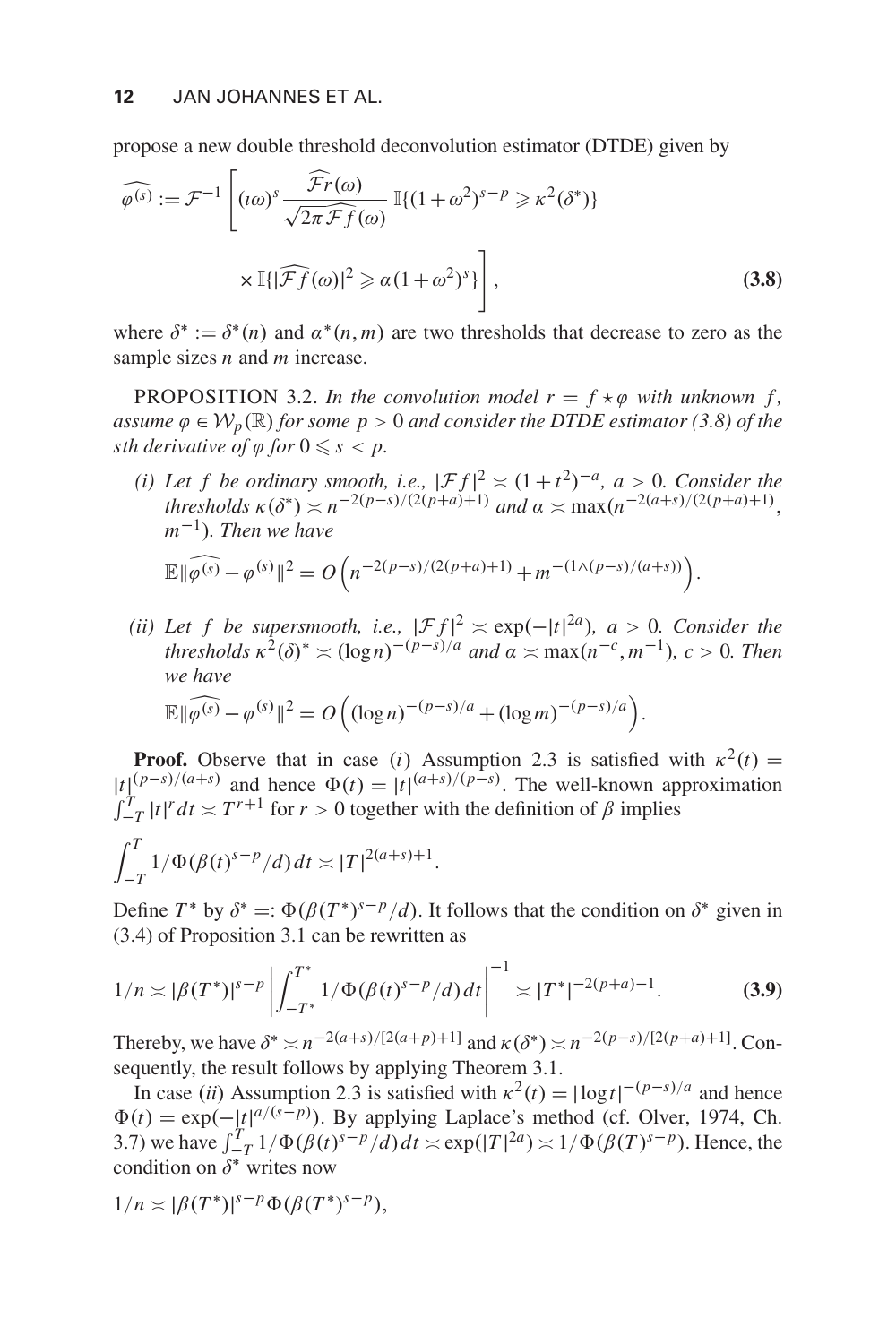propose a new double threshold deconvolution estimator (DTDE) given by

$$
\widehat{\varphi^{(s)}} := \mathcal{F}^{-1} \left[ (\iota \omega)^s \frac{\widehat{\mathcal{F}}r(\omega)}{\sqrt{2\pi \widehat{\mathcal{F}}f(\omega)}} \mathbb{I}\{ (1+\omega^2)^{s-p} \geq \kappa^2(\delta^*) \} \times \mathbb{I}\{ |\widehat{\mathcal{F}}f(\omega)|^2 \geq \alpha (1+\omega^2)^s \} \right],
$$
\n(3.8)

where  $\delta^* := \delta^*(n)$  and  $\alpha^*(n,m)$  are two thresholds that decrease to zero as the sample sizes *n* and *m* increase.

PROPOSITION 3.2. *In the convolution model*  $r = f * \varphi$  with unknown f, *assume*  $\varphi \in \mathcal{W}_p(\mathbb{R})$  *for some*  $p > 0$  *and consider the DTDE estimator* (3.8) *of the* sth derivative of  $\varphi$  for  $0 \leqslant s < p$ .

*(i) Let f be ordinary smooth, i.e.,*  $|\mathcal{F}f|^2 \approx (1+t^2)^{-a}$ ,  $a > 0$ . Consider the *thresholds*  $\kappa(\delta^*) \approx n^{-2(p-s)/(2(p+a)+1)}$  *and*  $\alpha \approx \max(n^{-2(a+s)/(2(p+a)+1)},$ *m*−1)*. Then we have*

$$
\mathbb{E} \|\widehat{\varphi^{(s)}} - \varphi^{(s)}\|^2 = O\Big(n^{-2(p-s)/(2(p+a)+1)} + m^{-(1 \wedge (p-s)/(a+s))}\Big).
$$

*(ii) Let f be supersmooth, i.e.,*  $|\mathcal{F}f|^2 \approx \exp(-|t|^{2a})$ ,  $a > 0$ . Consider the *thresholds*  $\kappa^2(\delta)^* \approx (\log n)^{-(p-s)/a}$  *and*  $\alpha \approx \max(n^{-c}, m^{-1})$ *, c* > 0*. Then we have*  $\mathbb{E} \|\widehat{\varphi^{(s)}} - \varphi^{(s)}\|^2 = O\left((\log n)^{-(p-s)/a} + (\log m)^{-(p-s)/a}\right).$ 

**Proof.** Observe that in case (*i*) Assumption 2.3 is satisfied with  $\kappa^2(t) =$  $|t|_T^{(p-s)/(a+s)}$  and hence  $\Phi(t) = |t|^{(a+s)/(p-s)}$ . The well-known approximation  $\int_{-T}^{T} |t|^r dt \approx T^{r+1}$  for  $r > 0$  together with the definition of  $\beta$  implies

$$
\int_{-T}^{T} 1/\Phi(\beta(t)^{s-p}/d) dt \approx |T|^{2(a+s)+1}.
$$

Define  $T^*$  by  $\delta^* =: \Phi(\beta(T^*)^{s-p}/d)$ . It follows that the condition on  $\delta^*$  given in (3.4) of Proposition 3.1 can be rewritten as

$$
1/n \asymp |\beta(T^*)|^{s-p} \left| \int_{-T^*}^{T^*} 1/\Phi(\beta(t)^{s-p}/d) dt \right|^{-1} \asymp |T^*|^{-2(p+a)-1}.
$$
 (3.9)

Thereby, we have  $\delta^* \ge n^{-2(a+s)/(2(a+p)+1]}$  and  $\kappa(\delta^*) \ge n^{-2(p-s)/(2(p+a)+1]}$ . Consequently, the result follows by applying Theorem 3.1.

In case (*ii*) Assumption 2.3 is satisfied with  $\kappa^2(t) = |\log t|^{-(p-s)/a}$  and hence  $\Phi(t) = \exp(-|t|^{a/(s-p)})$ . By applying Laplace's method (cf. Olver, 1974, Ch. 3.7) we have  $\int_{-T}^{T} 1/\Phi(\beta(t)^{s-p}/d) dt \approx \exp(|T|^{2a}) \approx 1/\Phi(\beta(T)^{s-p})$ . Hence, the condition on  $\delta^*$  writes now

$$
1/n \asymp |\beta(T^*)|^{s-p} \Phi(\beta(T^*)^{s-p}),
$$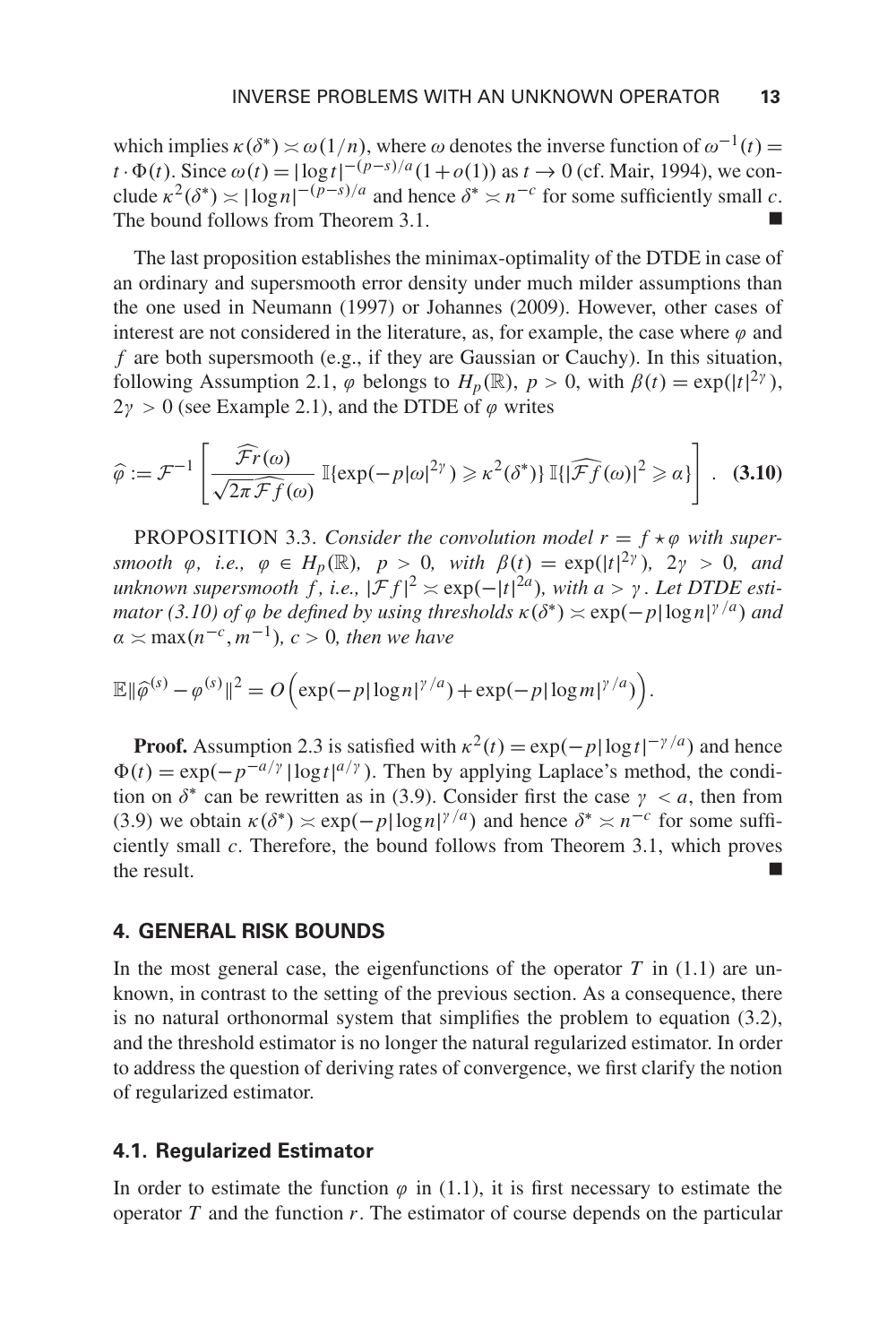which implies  $\kappa(\delta^*) \approx \omega(1/n)$ , where  $\omega$  denotes the inverse function of  $\omega^{-1}(t) =$ *t* ·  $\Phi$ (*t*). Since  $\omega$ (*t*) = |log*t*|  $^{-(p-s)/a}$ (1+*o*(1)) as *t* → 0 (cf. Mair, 1994), we conclude  $\kappa^2(\delta^*) \asymp |\log n|^{-(p-s)/a}$  and hence  $\delta^* \asymp n^{-c}$  for some sufficiently small *c*. The bound follows from Theorem 3.1.

The last proposition establishes the minimax-optimality of the DTDE in case of an ordinary and supersmooth error density under much milder assumptions than the one used in Neumann (1997) or Johannes (2009). However, other cases of interest are not considered in the literature, as, for example, the case where  $\varphi$  and *f* are both supersmooth (e.g., if they are Gaussian or Cauchy). In this situation, following Assumption 2.1,  $\varphi$  belongs to  $H_p(\mathbb{R})$ ,  $p > 0$ , with  $\beta(t) = \exp(|t|^{2\gamma})$ ,  $2\gamma > 0$  (see Example 2.1), and the DTDE of  $\varphi$  writes

$$
\widehat{\varphi} := \mathcal{F}^{-1}\left[\frac{\widehat{\mathcal{F}}r(\omega)}{\sqrt{2\pi\widehat{\mathcal{F}}f(\omega)}}\,\mathbb{I}\{\exp(-p|\omega|^{2\gamma})\geq \kappa^2(\delta^*)\}\,\mathbb{I}\{\left|\widehat{\mathcal{F}}f(\omega)\right|^2\geqslant \alpha\}\right].\tag{3.10}
$$

**PROPOSITION** 3.3. *Consider the convolution model*  $r = f * \varphi$  *with supersmooth*  $\varphi$ *, i.e.,*  $\varphi \in H_p(\mathbb{R})$ *,*  $p > 0$ *, with*  $\beta(t) = \exp(|t|^{2\gamma})$ *,*  $2\gamma > 0$ *, and unknown supersmooth*  $\hat{f}$ , *i.e.*,  $|\mathcal{F}f|^2 \approx \exp(-|t|^{2a})$ , with a >  $\gamma$ . Let DTDE esti*mator* (3.10) of  $\varphi$  *be defined by using thresholds*  $\kappa(\delta^*) \approx \exp(-p|\log n|^{7/a})$  *and*  $\alpha \asymp \max(n^{-c}, m^{-1})$ *, c* > 0*, then we have* 

$$
\mathbb{E}\|\widehat{\varphi}^{(s)}-\varphi^{(s)}\|^2=O\Big(\exp(-p|\log n|^{\gamma/a})+\exp(-p|\log m|^{\gamma/a})\Big).
$$

**Proof.** Assumption 2.3 is satisfied with  $\kappa^2(t) = \exp(-p|\log t|^{-\gamma/a})$  and hence  $\Phi(t) = \exp(-p^{-a/\gamma} |\log t|^{a/\gamma})$ . Then by applying Laplace's method, the condition on  $\delta^*$  can be rewritten as in (3.9). Consider first the case  $\gamma < a$ , then from (3.9) we obtain  $\kappa(\delta^*) \approx \exp(-p|\log n|^{y/a})$  and hence  $\delta^* \approx n^{-c}$  for some sufficiently small *c*. Therefore, the bound follows from Theorem 3.1, which proves the result.

#### **4. GENERAL RISK BOUNDS**

In the most general case, the eigenfunctions of the operator  $T$  in  $(1.1)$  are unknown, in contrast to the setting of the previous section. As a consequence, there is no natural orthonormal system that simplifies the problem to equation (3.2), and the threshold estimator is no longer the natural regularized estimator. In order to address the question of deriving rates of convergence, we first clarify the notion of regularized estimator.

#### **4.1. Regularized Estimator**

In order to estimate the function  $\varphi$  in (1.1), it is first necessary to estimate the operator *T* and the function *r*. The estimator of course depends on the particular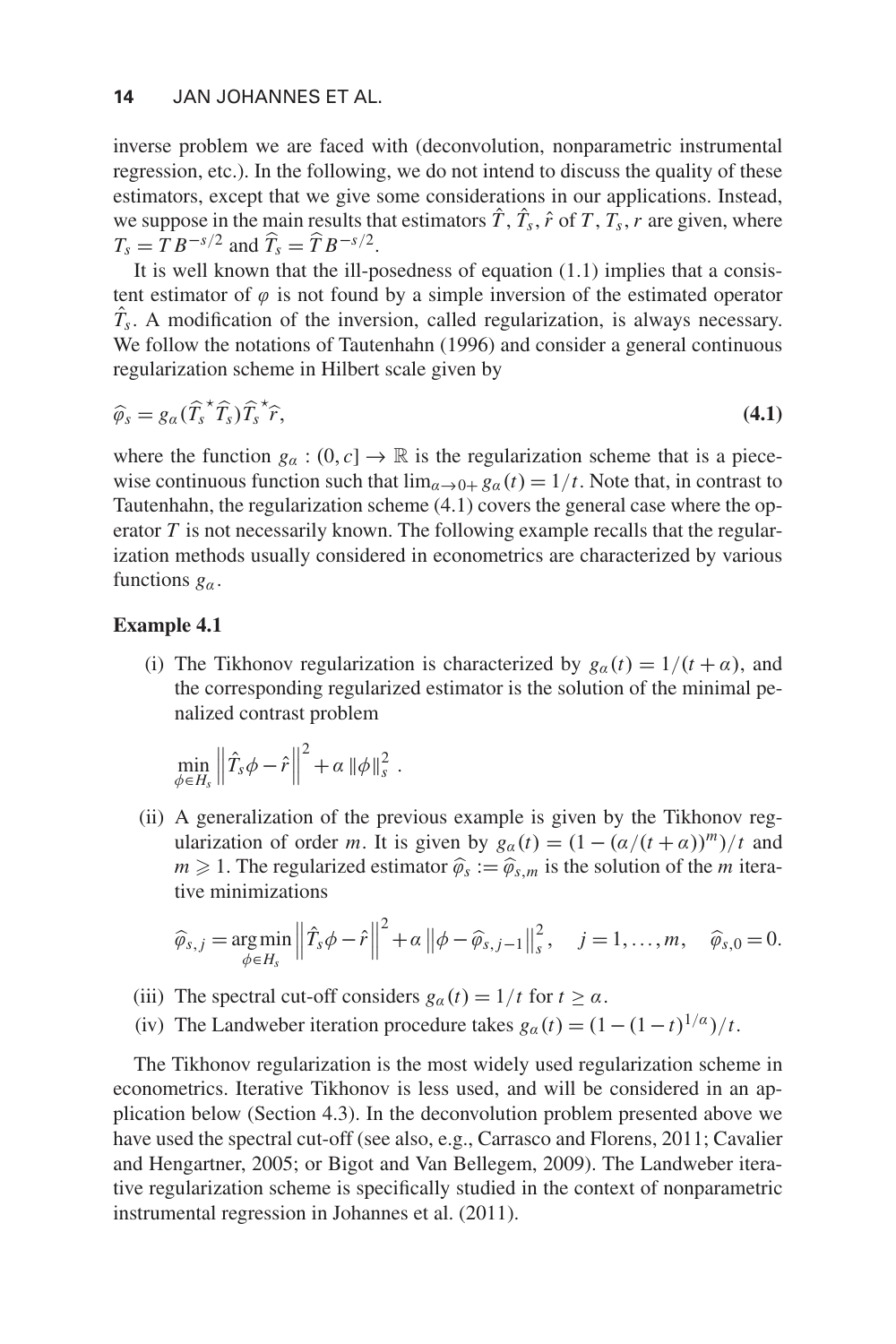inverse problem we are faced with (deconvolution, nonparametric instrumental regression, etc.). In the following, we do not intend to discuss the quality of these estimators, except that we give some considerations in our applications. Instead, we suppose in the main results that estimators  $\hat{T}$ ,  $\hat{T}_s$ ,  $\hat{r}$  of  $T$ ,  $T_s$ ,  $r$  are given, where  $T_s = T B^{-s/2}$  and  $\hat{T}_s = \hat{T} B^{-s/2}$ .

It is well known that the ill-posedness of equation (1.1) implies that a consistent estimator of  $\varphi$  is not found by a simple inversion of the estimated operator *T*ˆ *s*. A modification of the inversion, called regularization, is always necessary. We follow the notations of Tautenhahn (1996) and consider a general continuous regularization scheme in Hilbert scale given by

$$
\widehat{\varphi}_s = g_\alpha(\widehat{T}_s^* \widehat{T}_s) \widehat{T}_s^* \widehat{r}, \tag{4.1}
$$

where the function  $g_a : (0, c] \to \mathbb{R}$  is the regularization scheme that is a piecewise continuous function such that  $\lim_{\alpha \to 0+} g_\alpha(t) = 1/t$ . Note that, in contrast to Tautenhahn, the regularization scheme (4.1) covers the general case where the operator *T* is not necessarily known. The following example recalls that the regularization methods usually considered in econometrics are characterized by various functions  $g_\alpha$ .

#### **Example 4.1**

(i) The Tikhonov regularization is characterized by  $g_{\alpha}(t) = 1/(t + \alpha)$ , and the corresponding regularized estimator is the solution of the minimal penalized contrast problem

$$
\min_{\phi \in H_s} \left\| \hat{T}_s \phi - \hat{r} \right\|^2 + \alpha \left\| \phi \right\|_s^2.
$$

(ii) A generalization of the previous example is given by the Tikhonov regularization of order *m*. It is given by  $g_{\alpha}(t) = (1 - (\alpha/(t + \alpha))^{m})/t$  and  $m \geq 1$ . The regularized estimator  $\hat{\varphi}_s := \hat{\varphi}_{s,m}$  is the solution of the *m* iterative minimizations

$$
\widehat{\varphi}_{s,j} = \underset{\phi \in H_s}{\arg \min} \left\| \widehat{T}_s \phi - \widehat{r} \right\|^2 + \alpha \left\| \phi - \widehat{\varphi}_{s,j-1} \right\|_s^2, \quad j = 1, \ldots, m, \quad \widehat{\varphi}_{s,0} = 0.
$$

- (iii) The spectral cut-off considers  $g_{\alpha}(t) = 1/t$  for  $t \ge \alpha$ .
- (iv) The Landweber iteration procedure takes  $g_{\alpha}(t) = (1 (1 t)^{1/\alpha})/t$ .

The Tikhonov regularization is the most widely used regularization scheme in econometrics. Iterative Tikhonov is less used, and will be considered in an application below (Section 4.3). In the deconvolution problem presented above we have used the spectral cut-off (see also, e.g., Carrasco and Florens, 2011; Cavalier and Hengartner, 2005; or Bigot and Van Bellegem, 2009). The Landweber iterative regularization scheme is specifically studied in the context of nonparametric instrumental regression in Johannes et al. (2011).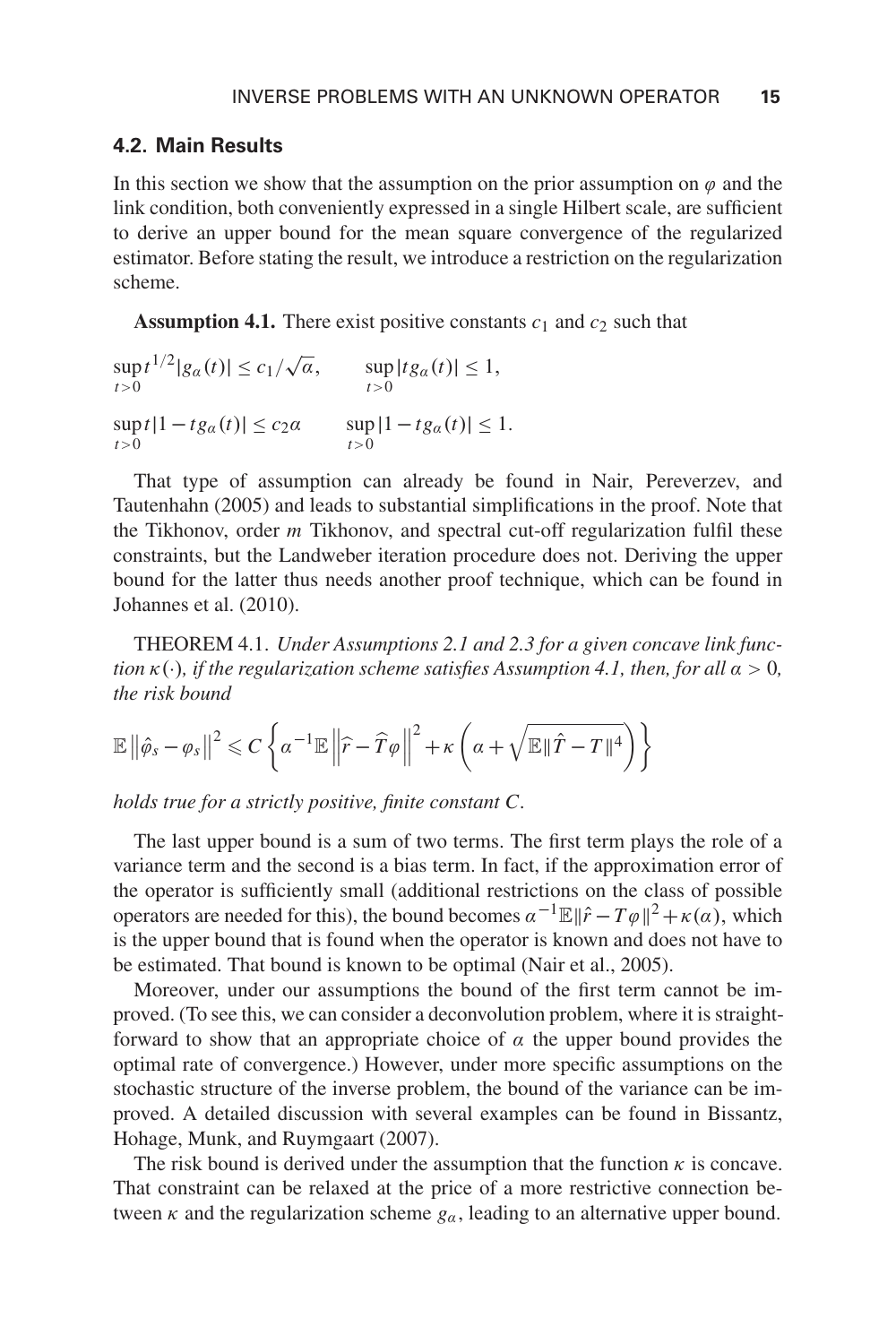#### **4.2. Main Results**

In this section we show that the assumption on the prior assumption on  $\varphi$  and the link condition, both conveniently expressed in a single Hilbert scale, are sufficient to derive an upper bound for the mean square convergence of the regularized estimator. Before stating the result, we introduce a restriction on the regularization scheme.

**Assumption 4.1.** There exist positive constants  $c_1$  and  $c_2$  such that

$$
\sup_{t>0} t^{1/2} |g_{\alpha}(t)| \le c_1/\sqrt{\alpha}, \qquad \sup_{t>0} |t g_{\alpha}(t)| \le 1,
$$
  
\n
$$
\sup_{t>0} t |1-t g_{\alpha}(t)| \le c_2 \alpha \qquad \sup_{t>0} |1-t g_{\alpha}(t)| \le 1.
$$

That type of assumption can already be found in Nair, Pereverzev, and Tautenhahn (2005) and leads to substantial simplifications in the proof. Note that the Tikhonov, order *m* Tikhonov, and spectral cut-off regularization fulfil these constraints, but the Landweber iteration procedure does not. Deriving the upper bound for the latter thus needs another proof technique, which can be found in Johannes et al. (2010).

THEOREM 4.1. *Under Assumptions 2.1 and 2.3 for a given concave link function*  $\kappa(\cdot)$ *, if the regularization scheme satisfies Assumption 4.1, then, for all*  $\alpha > 0$ *, the risk bound*

$$
\mathbb{E}\left\|\hat{\varphi}_s-\varphi_s\right\|^2 \leqslant C\left\{\alpha^{-1}\mathbb{E}\left\|\widehat{r}-\widehat{T}\varphi\right\|^2+\kappa\left(\alpha+\sqrt{\mathbb{E}\|\widehat{T}-T\|^4}\right)\right\}
$$

*holds true for a strictly positive, finite constant C.*

The last upper bound is a sum of two terms. The first term plays the role of a variance term and the second is a bias term. In fact, if the approximation error of the operator is sufficiently small (additional restrictions on the class of possible operators are needed for this), the bound becomes  $\alpha^{-1}\mathbb{E} \|\hat{r} - T\varphi\|^2 + \kappa(\alpha)$ , which is the upper bound that is found when the operator is known and does not have to be estimated. That bound is known to be optimal (Nair et al., 2005).

Moreover, under our assumptions the bound of the first term cannot be improved. (To see this, we can consider a deconvolution problem, where it is straightforward to show that an appropriate choice of  $\alpha$  the upper bound provides the optimal rate of convergence.) However, under more specific assumptions on the stochastic structure of the inverse problem, the bound of the variance can be improved. A detailed discussion with several examples can be found in Bissantz, Hohage, Munk, and Ruymgaart (2007).

The risk bound is derived under the assumption that the function  $\kappa$  is concave. That constraint can be relaxed at the price of a more restrictive connection between  $\kappa$  and the regularization scheme  $g_\alpha$ , leading to an alternative upper bound.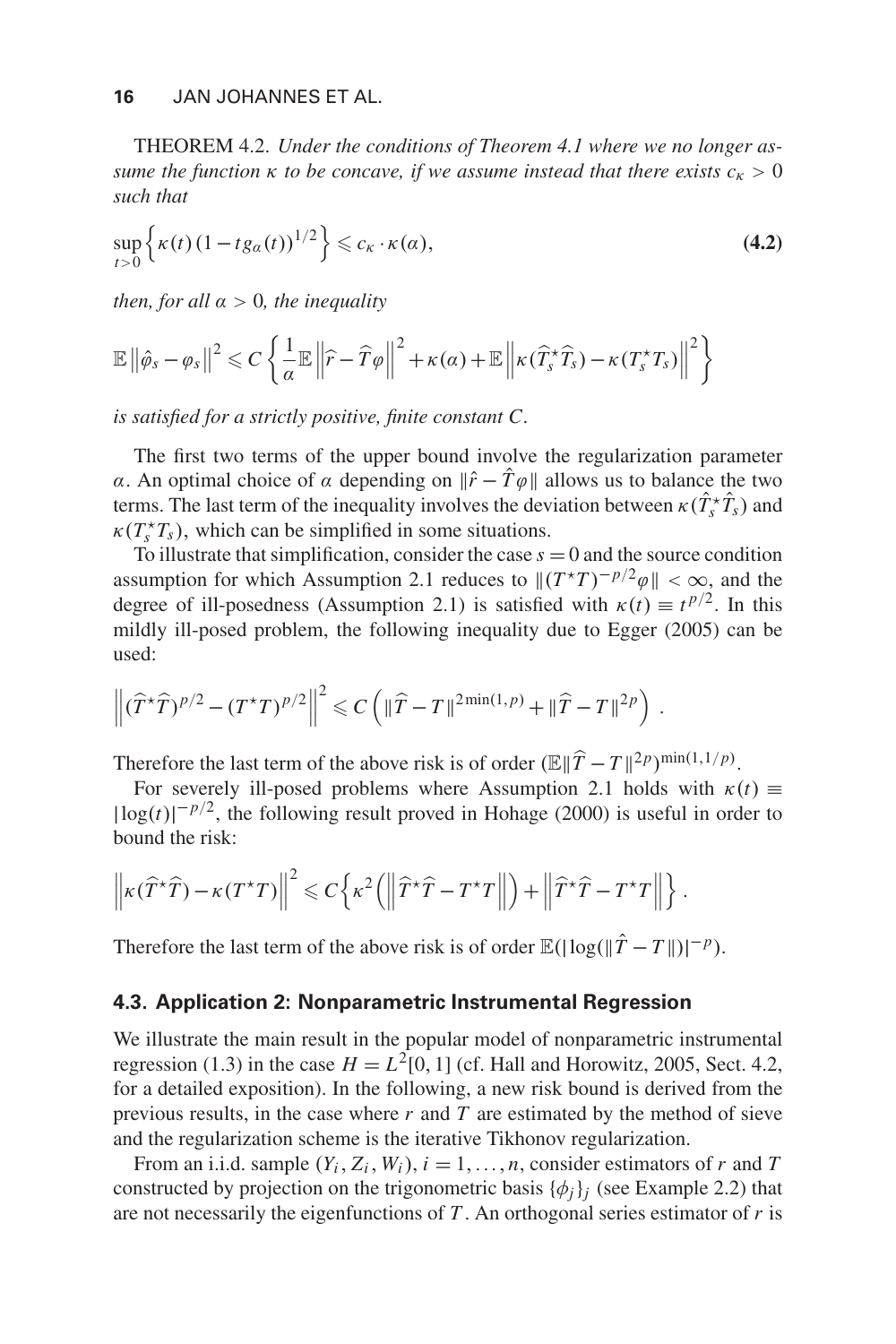THEOREM 4.2. *Under the conditions of Theorem 4.1 where we no longer assume the function*  $\kappa$  *to be concave, if we assume instead that there exists*  $c_{\kappa} > 0$ *such that*

$$
\sup_{t>0} \left\{ \kappa(t) \left( 1 - t g_{\alpha}(t) \right)^{1/2} \right\} \leqslant c_{\kappa} \cdot \kappa(\alpha), \tag{4.2}
$$

*then, for all* α > 0*, the inequality*

$$
\mathbb{E}\left\|\hat{\varphi}_s-\varphi_s\right\|^2 \leqslant C\left\{\frac{1}{\alpha}\mathbb{E}\left\|\widehat{r}-\widehat{T}\varphi\right\|^2+\kappa(\alpha)+\mathbb{E}\left\|\kappa(\widehat{T}_s^{\star}\widehat{T}_s)-\kappa(T_s^{\star}T_s)\right\|^2\right\}
$$

*is satisfied for a strictly positive, finite constant C.*

The first two terms of the upper bound involve the regularization parameter α. An optimal choice of α depending on  $\|\hat{r} - \hat{T}\varphi\|$  allows us to balance the two terms. The last term of the inequality involves the deviation between  $\kappa(\hat{T}_s^* \hat{T}_s)$  and  $\kappa(T_s^{\star}T_s)$ , which can be simplified in some situations.

To illustrate that simplification, consider the case  $s = 0$  and the source condition assumption for which Assumption 2.1 reduces to  $||(T^*T)^{-p/2}\varphi|| < \infty$ , and the degree of ill-posedness (Assumption 2.1) is satisfied with  $\kappa(t) \equiv t^{p/2}$ . In this mildly ill-posed problem, the following inequality due to Egger (2005) can be used:

$$
\left\|(\widehat{T}^{\star}\widehat{T})^{p/2}-(T^{\star}T)^{p/2}\right\|^2\leqslant C\left(\|\widehat{T}-T\|^{2\min(1,p)}+\|\widehat{T}-T\|^{2p}\right).
$$

Therefore the last term of the above risk is of order  $(\mathbb{E} || \hat{T} - T ||^{2p})^{\min(1,1/p)}$ .

For severely ill-posed problems where Assumption 2.1 holds with  $\kappa(t) \equiv$  $|\log(t)|^{-p/2}$ , the following result proved in Hohage (2000) is useful in order to bound the risk:

$$
\left\| \kappa(\widehat{T}^{\star}\widehat{T}) - \kappa(T^{\star}T) \right\|^2 \leqslant C \left\{ \kappa^2 \left( \left\| \widehat{T}^{\star}\widehat{T} - T^{\star}T \right\| \right) + \left\| \widehat{T}^{\star}\widehat{T} - T^{\star}T \right\| \right\}.
$$

Therefore the last term of the above risk is of order  $\mathbb{E}(|\log(\|\hat{T} - T\|)|^{-p})$ .

#### **4.3. Application 2: Nonparametric Instrumental Regression**

We illustrate the main result in the popular model of nonparametric instrumental regression (1.3) in the case  $H = L^2[0, 1]$  (cf. Hall and Horowitz, 2005, Sect. 4.2, for a detailed exposition). In the following, a new risk bound is derived from the previous results, in the case where  $r$  and  $T$  are estimated by the method of sieve and the regularization scheme is the iterative Tikhonov regularization.

From an i.i.d. sample  $(Y_i, Z_i, W_i)$ ,  $i = 1, \ldots, n$ , consider estimators of *r* and *T* constructed by projection on the trigonometric basis  $\{\phi_i\}_i$  (see Example 2.2) that are not necessarily the eigenfunctions of *T* . An orthogonal series estimator of *r* is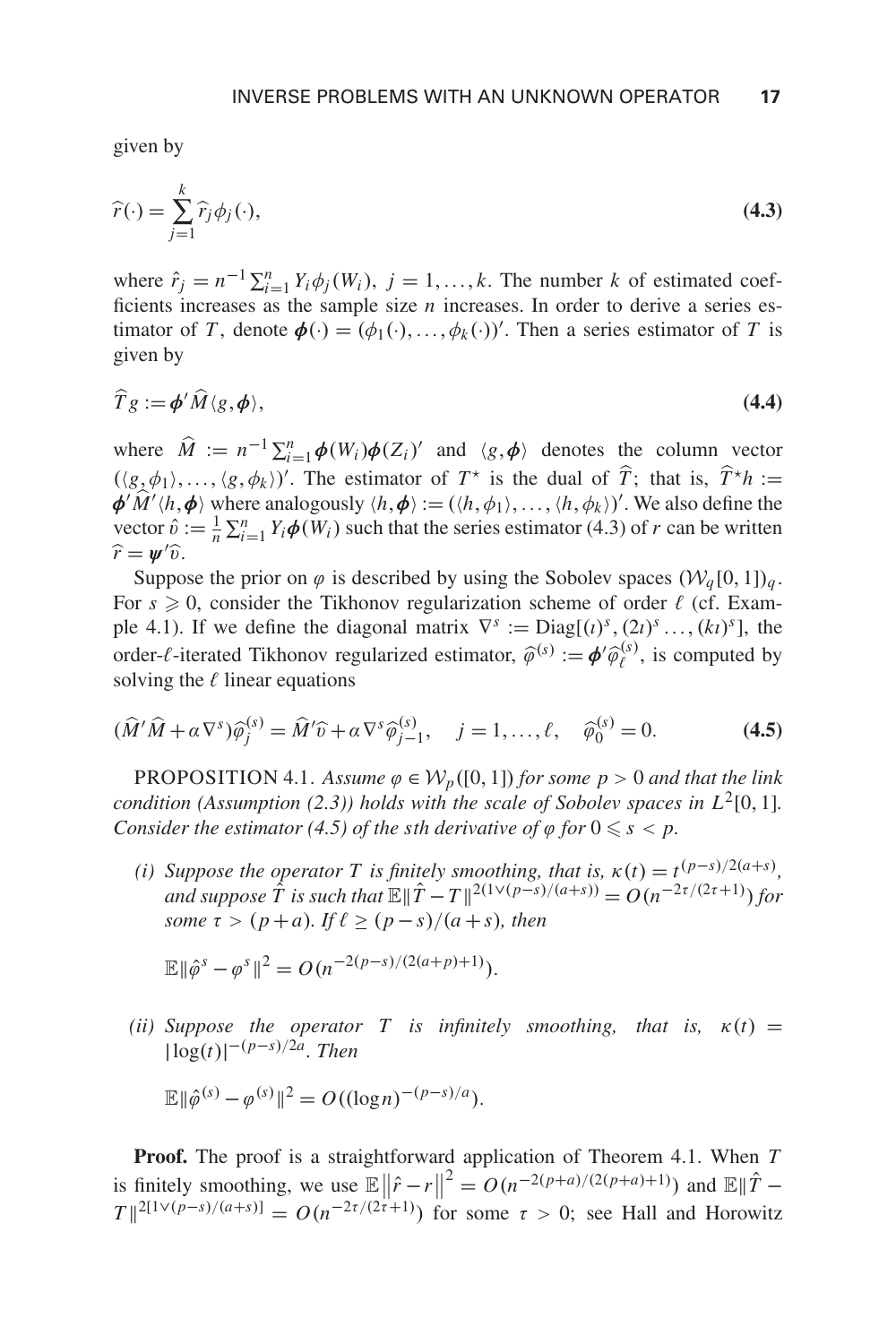given by

$$
\widehat{r}(\cdot) = \sum_{j=1}^{k} \widehat{r}_j \phi_j(\cdot),\tag{4.3}
$$

where  $\hat{r}_j = n^{-1} \sum_{i=1}^n Y_i \phi_j(W_i)$ ,  $j = 1, ..., k$ . The number *k* of estimated coefficients increases as the sample size *n* increases. In order to derive a series estimator of *T*, denote  $\phi(\cdot) = (\phi_1(\cdot), \dots, \phi_k(\cdot))'$ . Then a series estimator of *T* is given by

$$
\widehat{T}g := \boldsymbol{\phi}' \widehat{M} \langle g, \boldsymbol{\phi} \rangle, \tag{4.4}
$$

where  $\hat{M} := n^{-1} \sum_{i=1}^{n} \phi(W_i) \phi(Z_i)'$  and  $\langle g, \phi \rangle$  denotes the column vector  $(\langle g, \phi_1 \rangle, \dots, \langle g, \phi_k \rangle)'$ . The estimator of  $T^*$  is the dual of  $\hat{T}$ ; that is,  $\hat{T}^*h :=$  $\phi' M' \langle h, \phi \rangle$  where analogously  $\langle h, \phi \rangle := (\langle h, \phi_1 \rangle, \dots, \langle h, \phi_k \rangle)'$ . We also define the vector  $\hat{v} := \frac{1}{n} \sum_{i=1}^{n} Y_i \phi(W_i)$  such that the series estimator (4.3) of *r* can be written  $\widehat{r} = \psi' \widehat{v}.$ 

Suppose the prior on  $\varphi$  is described by using the Sobolev spaces  $(\mathcal{W}_q[0,1])_q$ . For  $s \geq 0$ , consider the Tikhonov regularization scheme of order  $\ell$  (cf. Example 4.1). If we define the diagonal matrix  $\nabla^s := \text{Diag}[(t)^s, (2t)^s, \ldots, (kt)^s]$ , the order- $\ell$ -iterated Tikhonov regularized estimator,  $\hat{\varphi}^{(s)} := \phi' \hat{\varphi}^{(s)}_{\ell}$ , is computed by solving the  $\ell$  linear equations

$$
(\widehat{M}'\widehat{M} + \alpha \nabla^s)\widehat{\varphi}_j^{(s)} = \widehat{M}'\widehat{v} + \alpha \nabla^s \widehat{\varphi}_{j-1}^{(s)}, \quad j = 1, \dots, \ell, \quad \widehat{\varphi}_0^{(s)} = 0.
$$
 (4.5)

PROPOSITION 4.1. Assume  $\varphi \in W_p([0,1])$  *for some p* > 0 *and that the link condition (Assumption (2.3)) holds with the scale of Sobolev spaces in*  $L^2[0,1]$ *. Consider the estimator* (4.5) *of the sth derivative of*  $\varphi$  *for*  $0 \leq s < p$ *.* 

*(i)* Suppose the operator T is finitely smoothing, that is,  $\kappa(t) = t^{(p-s)/2(a+s)}$ , *and suppose*  $\hat{T}$  *is such that*  $\mathbb{E} \|\hat{T} - T\|^{2(1 \vee (p-s)/(a+s))} = O(n^{-2\tau/(2\tau+1)})$  for *some*  $\tau > (p+a)$ *. If*  $\ell > (p-s)/(a+s)$ *, then* 

$$
\mathbb{E} \|\hat{\varphi}^s - \varphi^s\|^2 = O(n^{-2(p-s)/(2(a+p)+1)}).
$$

*(ii)* Suppose the operator T is infinitely smoothing, that is,  $\kappa(t) =$ |log(*t*)| <sup>−</sup>(*p*−*s*)/2*a. Then*

$$
\mathbb{E} \|\hat{\varphi}^{(s)} - \varphi^{(s)}\|^2 = O((\log n)^{-(p-s)/a}).
$$

**Proof.** The proof is a straightforward application of Theorem 4.1. When *T* is finitely smoothing, we use  $\mathbb{E} \left\| \hat{r} - r \right\|^2 = O(n^{-2(p+a)/(2(p+a)+1)})$  and  $\mathbb{E} \|\hat{T} - r\|^2 = O(n^{-2(p+a)/(2(p+a)+1)})$  $T\|2^{[1\vee (p-s)/(a+s)]} = O(n^{-2\tau/(2\tau+1)})$  for some  $\tau > 0$ ; see Hall and Horowitz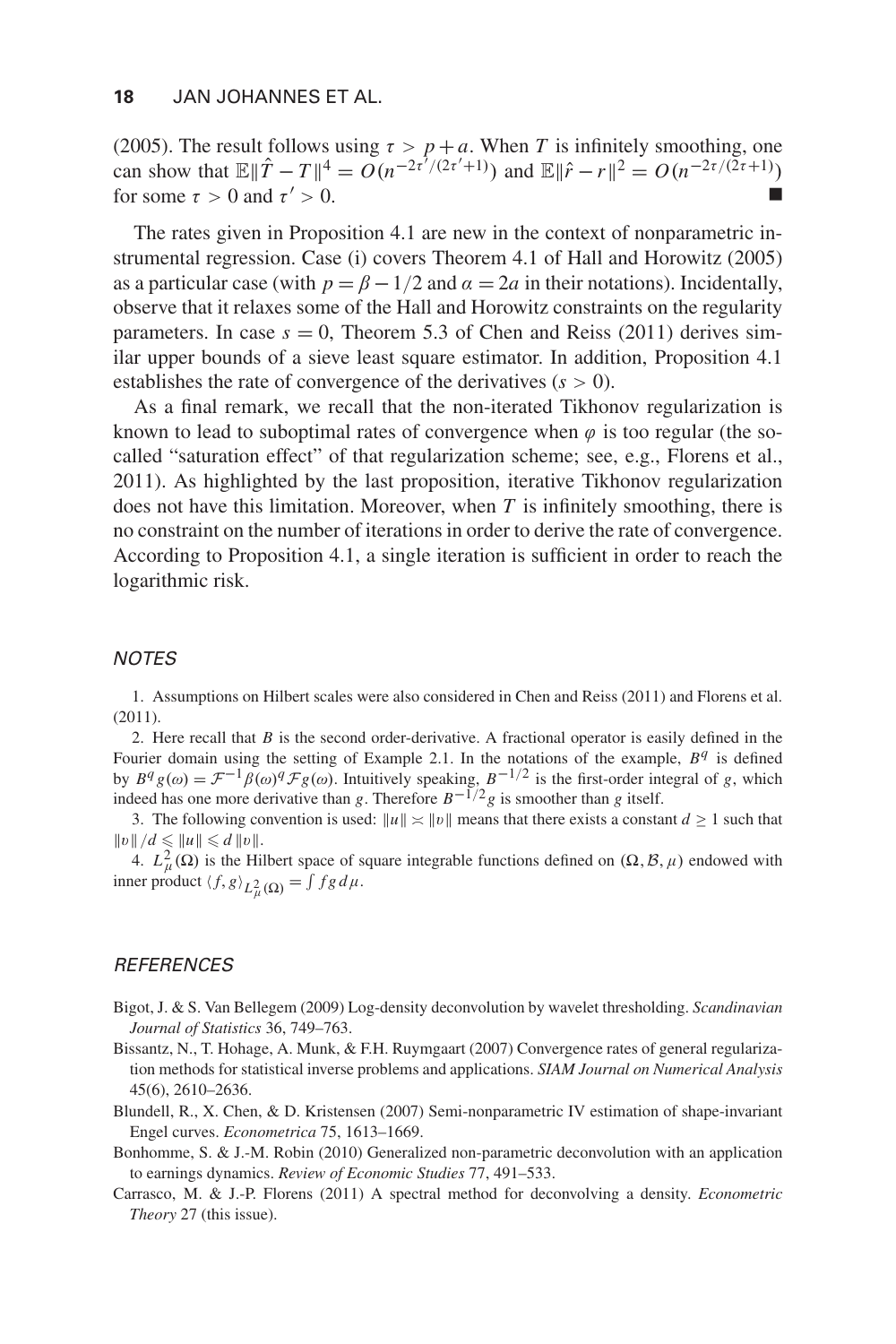(2005). The result follows using  $\tau > p + a$ . When *T* is infinitely smoothing, one can show that  $\mathbb{E} \|\hat{T} - T\|^4 = O(n^{-2\tau^7/(2\tau^7+1)})$  and  $\mathbb{E} \|\hat{r} - r\|^2 = O(n^{-2\tau/(2\tau+1)})$ for some  $\tau > 0$  and  $\tau' > 0$ .

The rates given in Proposition 4.1 are new in the context of nonparametric instrumental regression. Case (i) covers Theorem 4.1 of Hall and Horowitz (2005) as a particular case (with  $p = \beta - 1/2$  and  $\alpha = 2a$  in their notations). Incidentally, observe that it relaxes some of the Hall and Horowitz constraints on the regularity parameters. In case  $s = 0$ , Theorem 5.3 of Chen and Reiss (2011) derives similar upper bounds of a sieve least square estimator. In addition, Proposition 4.1 establishes the rate of convergence of the derivatives  $(s > 0)$ .

As a final remark, we recall that the non-iterated Tikhonov regularization is known to lead to suboptimal rates of convergence when  $\varphi$  is too regular (the socalled "saturation effect" of that regularization scheme; see, e.g., Florens et al., 2011). As highlighted by the last proposition, iterative Tikhonov regularization does not have this limitation. Moreover, when *T* is infinitely smoothing, there is no constraint on the number of iterations in order to derive the rate of convergence. According to Proposition 4.1, a single iteration is sufficient in order to reach the logarithmic risk.

#### NOTES

1. Assumptions on Hilbert scales were also considered in Chen and Reiss (2011) and Florens et al. (2011).

2. Here recall that *B* is the second order-derivative. A fractional operator is easily defined in the Fourier domain using the setting of Example 2.1. In the notations of the example, *B<sup>q</sup>* is defined by  $B^q g(\omega) = \mathcal{F}^{-1} \beta(\omega)^q \mathcal{F} g(\omega)$ . Intuitively speaking,  $B^{-1/2}$  is the first-order integral of g, which indeed has one more derivative than g. Therefore  $B^{-1/2} g$  is smoother than g itself.

3. The following convention is used:  $||u|| \approx ||v||$  means that there exists a constant  $d \ge 1$  such that  $||v||/d \leq ||u|| \leq d ||v||.$ 

4.  $L^2_{\mu}(\Omega)$  is the Hilbert space of square integrable functions defined on  $(\Omega, \mathcal{B}, \mu)$  endowed with inner product  $\langle f, g \rangle_{L^2_{\mu}(\Omega)} = \int f g d\mu$ .

#### **REFERENCES**

- Bigot, J. & S. Van Bellegem (2009) Log-density deconvolution by wavelet thresholding. *Scandinavian Journal of Statistics* 36, 749–763.
- Bissantz, N., T. Hohage, A. Munk, & F.H. Ruymgaart (2007) Convergence rates of general regularization methods for statistical inverse problems and applications. *SIAM Journal on Numerical Analysis* 45(6), 2610–2636.
- Blundell, R., X. Chen, & D. Kristensen (2007) Semi-nonparametric IV estimation of shape-invariant Engel curves. *Econometrica* 75, 1613–1669.
- Bonhomme, S. & J.-M. Robin (2010) Generalized non-parametric deconvolution with an application to earnings dynamics. *Review of Economic Studies* 77, 491–533.
- Carrasco, M. & J.-P. Florens (2011) A spectral method for deconvolving a density. *Econometric Theory* 27 (this issue).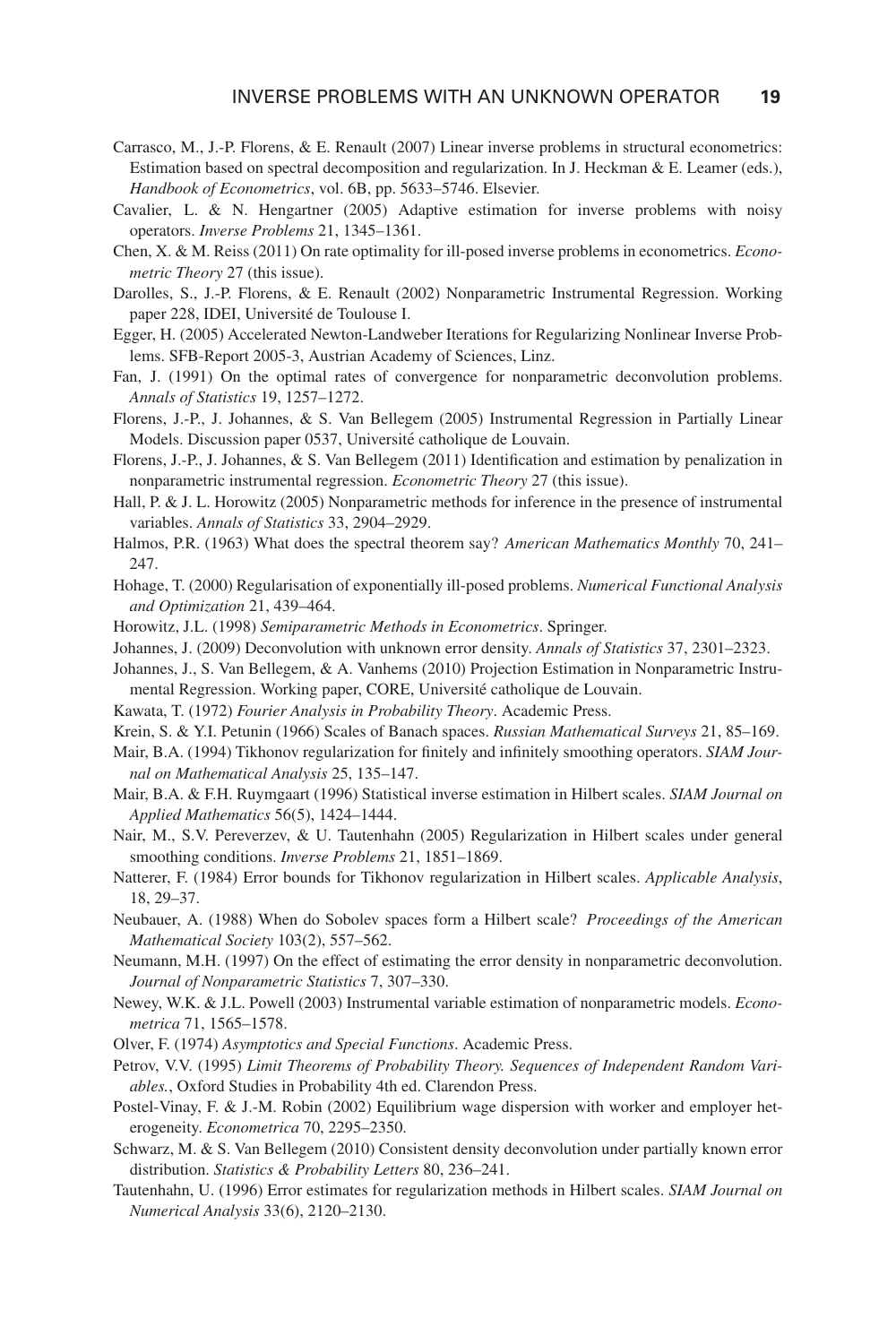- Carrasco, M., J.-P. Florens, & E. Renault (2007) Linear inverse problems in structural econometrics: Estimation based on spectral decomposition and regularization. In J. Heckman & E. Leamer (eds.), *Handbook of Econometrics*, vol. 6B, pp. 5633–5746. Elsevier.
- Cavalier, L. & N. Hengartner (2005) Adaptive estimation for inverse problems with noisy operators. *Inverse Problems* 21, 1345–1361.
- Chen, X. & M. Reiss (2011) On rate optimality for ill-posed inverse problems in econometrics. *Econometric Theory* 27 (this issue).
- Darolles, S., J.-P. Florens, & E. Renault (2002) Nonparametric Instrumental Regression. Working paper 228, IDEI, Universite de Toulouse I. ´
- Egger, H. (2005) Accelerated Newton-Landweber Iterations for Regularizing Nonlinear Inverse Problems. SFB-Report 2005-3, Austrian Academy of Sciences, Linz.
- Fan, J. (1991) On the optimal rates of convergence for nonparametric deconvolution problems. *Annals of Statistics* 19, 1257–1272.
- Florens, J.-P., J. Johannes, & S. Van Bellegem (2005) Instrumental Regression in Partially Linear Models. Discussion paper 0537, Université catholique de Louvain.
- Florens, J.-P., J. Johannes,  $&$  S. Van Bellegem (2011) Identification and estimation by penalization in nonparametric instrumental regression. *Econometric Theory* 27 (this issue).
- Hall, P. & J. L. Horowitz (2005) Nonparametric methods for inference in the presence of instrumental variables. *Annals of Statistics* 33, 2904–2929.
- Halmos, P.R. (1963) What does the spectral theorem say? *American Mathematics Monthly* 70, 241– 247.
- Hohage, T. (2000) Regularisation of exponentially ill-posed problems. *Numerical Functional Analysis and Optimization* 21, 439–464.
- Horowitz, J.L. (1998) *Semiparametric Methods in Econometrics*. Springer.
- Johannes, J. (2009) Deconvolution with unknown error density. *Annals of Statistics* 37, 2301–2323.
- Johannes, J., S. Van Bellegem, & A. Vanhems (2010) Projection Estimation in Nonparametric Instrumental Regression. Working paper, CORE, Université catholique de Louvain.
- Kawata, T. (1972) *Fourier Analysis in Probability Theory*. Academic Press.
- Krein, S. & Y.I. Petunin (1966) Scales of Banach spaces. *Russian Mathematical Surveys* 21, 85–169.
- Mair, B.A. (1994) Tikhonov regularization for finitely and infinitely smoothing operators. *SIAM Journal on Mathematical Analysis* 25, 135–147.
- Mair, B.A. & F.H. Ruymgaart (1996) Statistical inverse estimation in Hilbert scales. *SIAM Journal on Applied Mathematics* 56(5), 1424–1444.
- Nair, M., S.V. Pereverzev, & U. Tautenhahn (2005) Regularization in Hilbert scales under general smoothing conditions. *Inverse Problems* 21, 1851–1869.
- Natterer, F. (1984) Error bounds for Tikhonov regularization in Hilbert scales. *Applicable Analysis*, 18, 29–37.
- Neubauer, A. (1988) When do Sobolev spaces form a Hilbert scale? *Proceedings of the American Mathematical Society* 103(2), 557–562.
- Neumann, M.H. (1997) On the effect of estimating the error density in nonparametric deconvolution. *Journal of Nonparametric Statistics* 7, 307–330.
- Newey, W.K. & J.L. Powell (2003) Instrumental variable estimation of nonparametric models. *Econometrica* 71, 1565–1578.
- Olver, F. (1974) *Asymptotics and Special Functions*. Academic Press.
- Petrov, V.V. (1995) *Limit Theorems of Probability Theory. Sequences of Independent Random Variables.*, Oxford Studies in Probability 4th ed. Clarendon Press.
- Postel-Vinay, F. & J.-M. Robin (2002) Equilibrium wage dispersion with worker and employer heterogeneity. *Econometrica* 70, 2295–2350.
- Schwarz, M. & S. Van Bellegem (2010) Consistent density deconvolution under partially known error distribution. *Statistics & Probability Letters* 80, 236–241.
- Tautenhahn, U. (1996) Error estimates for regularization methods in Hilbert scales. *SIAM Journal on Numerical Analysis* 33(6), 2120–2130.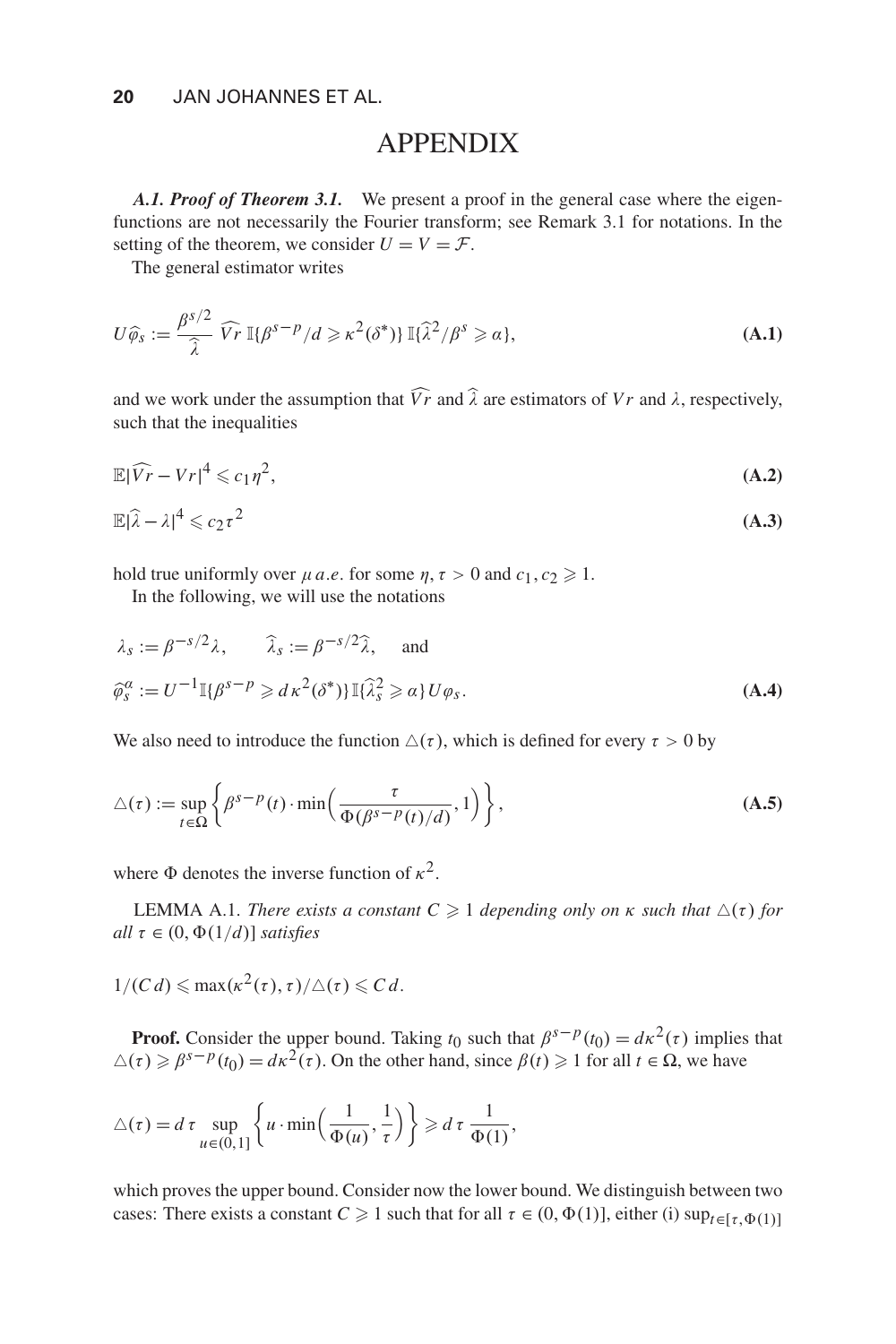# APPENDIX

*A.1. Proof of Theorem 3.1.* We present a proof in the general case where the eigenfunctions are not necessarily the Fourier transform; see Remark 3.1 for notations. In the setting of the theorem, we consider  $U = V = \mathcal{F}$ .

The general estimator writes

$$
U\widehat{\varphi}_s := \frac{\beta^{s/2}}{\widehat{\lambda}} \widehat{V}_r \, \mathbb{I}\{\beta^{s-p}/d \geqslant \kappa^2(\delta^*)\} \, \mathbb{I}\{\widehat{\lambda}^2/\beta^s \geqslant \alpha\},\tag{A.1}
$$

and we work under the assumption that  $\widehat{V}_r$  and  $\widehat{\lambda}$  are estimators of *Vr* and  $\lambda$ , respectively, such that the inequalities

$$
\mathbb{E}|\widehat{Vr} - Vr|^4 \leqslant c_1 \eta^2,\tag{A.2}
$$

$$
\mathbb{E}|\widehat{\lambda} - \lambda|^4 \leqslant c_2 \tau^2 \tag{A.3}
$$

hold true uniformly over  $\mu$  *a.e.* for some  $\eta$ ,  $\tau > 0$  and  $c_1$ ,  $c_2 \ge 1$ .

In the following, we will use the notations

$$
\lambda_s := \beta^{-s/2} \lambda, \qquad \widehat{\lambda}_s := \beta^{-s/2} \widehat{\lambda}, \qquad \text{and}
$$
\n
$$
\widehat{\varphi}_s^{\alpha} := U^{-1} \mathbb{I} \{ \beta^{s-p} \geq d \kappa^2 (\delta^*) \} \mathbb{I} \{ \widehat{\lambda}_s^2 \geq \alpha \} U \varphi_s.
$$
\n(A.4)

We also need to introduce the function  $\Delta(\tau)$ , which is defined for every  $\tau > 0$  by

$$
\triangle(\tau) := \sup_{t \in \Omega} \left\{ \beta^{s-p}(t) \cdot \min\left(\frac{\tau}{\Phi(\beta^{s-p}(t)/d)}, 1\right) \right\},\tag{A.5}
$$

where  $\Phi$  denotes the inverse function of  $\kappa^2$ .

**LEMMA A.1.** *There exists a constant*  $C \geq 1$  *depending only on*  $\kappa$  *such that*  $\Delta(\tau)$  *for all*  $\tau \in (0, \Phi(1/d))$  *satisfies* 

$$
1/(C d) \leqslant \max(\kappa^2(\tau), \tau)/\triangle(\tau) \leqslant C d.
$$

**Proof.** Consider the upper bound. Taking *t*<sub>0</sub> such that  $\beta^{s-p}(t_0) = d\kappa^2(\tau)$  implies that  $\Delta(\tau) \geq \beta^{s-p}(t_0) = d\kappa^2(\tau)$ . On the other hand, since  $\beta(t) \geq 1$  for all  $t \in \Omega$ , we have

$$
\triangle(\tau) = d \tau \sup_{u \in (0,1]} \left\{ u \cdot \min\left(\frac{1}{\Phi(u)}, \frac{1}{\tau}\right) \right\} \geq d \tau \frac{1}{\Phi(1)},
$$

which proves the upper bound. Consider now the lower bound. We distinguish between two cases: There exists a constant  $C \geq 1$  such that for all  $\tau \in (0, \Phi(1)]$ , either (i)  $\sup_{t \in [\tau, \Phi(1)]}$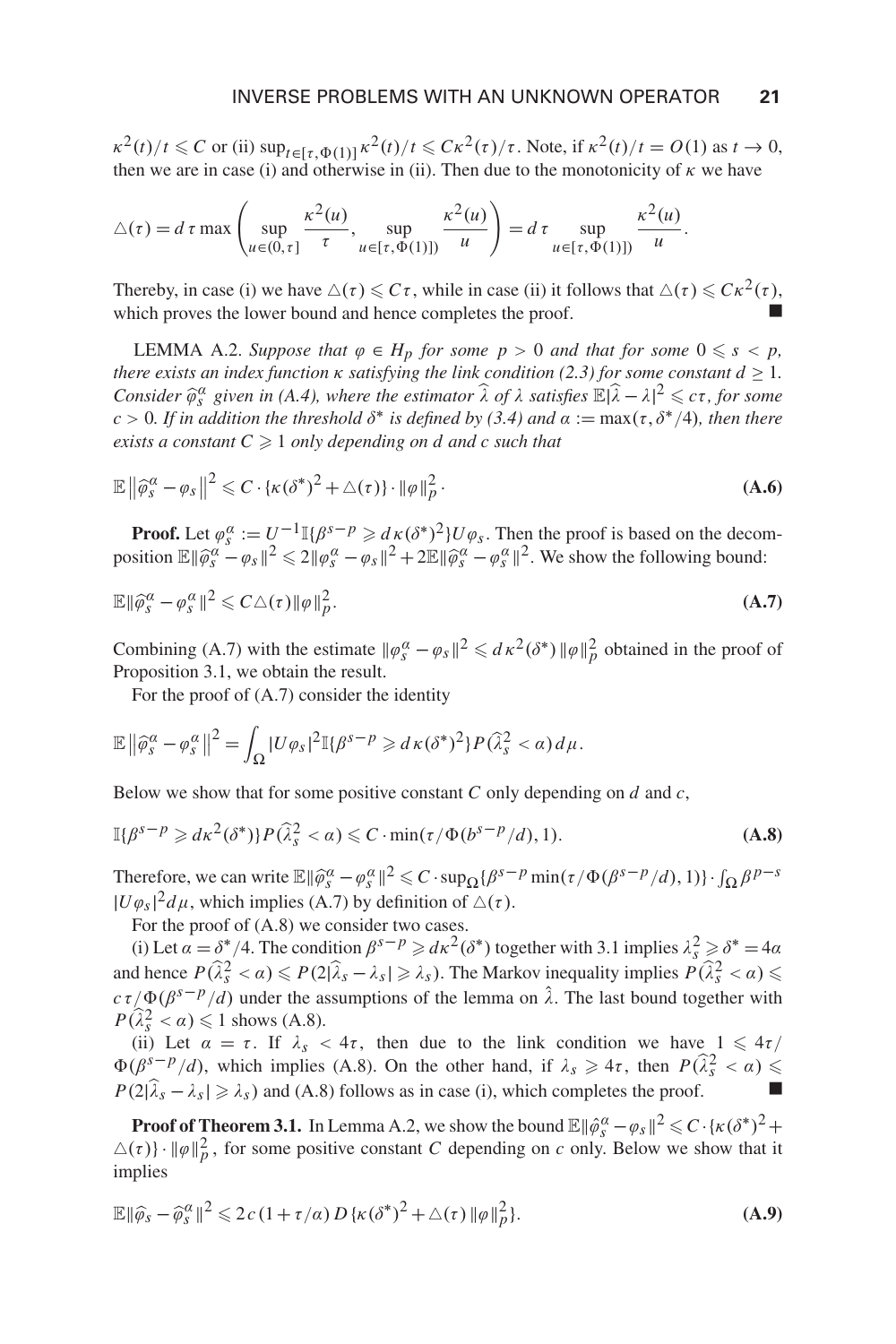$\kappa^2(t)/t \le C$  or (ii)  $\sup_{t \in [\tau, \Phi(1)]} \kappa^2(t)/t \le C\kappa^2(\tau)/\tau$ . Note, if  $\kappa^2(t)/t = O(1)$  as  $t \to 0$ , then we are in case (i) and otherwise in (ii). Then due to the monotonicity of  $\kappa$  we have

$$
\triangle(\tau) = d \tau \max \left( \sup_{u \in (0,\tau]} \frac{\kappa^2(u)}{\tau}, \sup_{u \in [\tau, \Phi(1)]} \frac{\kappa^2(u)}{u} \right) = d \tau \sup_{u \in [\tau, \Phi(1)]} \frac{\kappa^2(u)}{u}.
$$

Thereby, in case (i) we have  $\triangle(\tau) \leq C\tau$ , while in case (ii) it follows that  $\triangle(\tau) \leq C\kappa^2(\tau)$ , which proves the lower bound and hence completes the proof.

LEMMA A.2. *Suppose that*  $\varphi \in H_p$  *for some*  $p > 0$  *and that for some*  $0 \leq s < p$ *, there exists an index function*  $\kappa$  *satisfying the link condition (2.3) for some constant*  $d \geq 1$ *. Consider*  $\widehat{\varphi}^{\alpha}$  *given in (A.4), where the estimator*  $\widehat{\lambda}$  *of*  $\lambda$  *satisfies*  $\mathbb{E}|\widehat{\lambda} - \lambda|^2 \leq c\tau$ , *for some*  $c > 0$ *. If in addition the threshold*  $\delta^*$  *is defined by (3.4) and*  $\alpha := \max(\tau, \delta^*/4)$ *, then there exists a constant*  $C \geq 1$  *only depending on d and c such that* 

$$
\mathbb{E}\left\|\widehat{\varphi}_s^{\alpha} - \varphi_s\right\|^2 \leqslant C \cdot \left\{\kappa(\delta^*)^2 + \triangle(\tau)\right\} \cdot \|\varphi\|_p^2.
$$
\n(A.6)

**Proof.** Let  $\varphi_s^{\alpha} := U^{-1} \mathbb{I} \{\beta^{s-p} \geq d \kappa (\delta^*)^2 \} U \varphi_s$ . Then the proof is based on the decomposition  $\mathbb{E} \|\hat{\varphi}_s^{\alpha} - \varphi_s\|^2 \le 2\|\varphi_s^{\alpha} - \varphi_s\|^2 + 2\mathbb{E} \|\hat{\varphi}_s^{\alpha} - \varphi_s^{\alpha}\|^2$ . We show the following bound:

$$
\mathbb{E} \|\widehat{\varphi}_s^{\alpha} - \varphi_s^{\alpha}\|^2 \leqslant C \triangle(\tau) \|\varphi\|_p^2. \tag{A.7}
$$

Combining (A.7) with the estimate  $\|\varphi_s^{\alpha} - \varphi_s\|^2 \leq d \kappa^2(\delta^*) \|\varphi\|_p^2$  obtained in the proof of Proposition 3.1, we obtain the result.

For the proof of (A.7) consider the identity

$$
\mathbb{E}\left\|\widehat{\varphi}_s^{\alpha}-\varphi_s^{\alpha}\right\|^2=\int_{\Omega}|U\varphi_s|^2\mathbb{I}\{\beta^{s-p}\geqslant d\kappa(\delta^*)^2\}P(\widehat{\lambda}_s^2<\alpha)d\mu.
$$

Below we show that for some positive constant *C* only depending on *d* and *c*,

$$
\mathbb{I}\{\beta^{s-p}\geqslant d\kappa^2(\delta^*)\}P(\widehat{\lambda}_s^2<\alpha)\leqslant C\cdot\min(\tau/\Phi(b^{s-p}/d),1). \tag{A.8}
$$

Therefore, we can write  $\mathbb{E} \|\hat{\varphi}_s^{\alpha} - \varphi_s^{\alpha}\|^2 \leq C \cdot \sup_{\Omega} {\{\beta^s - p \min(\tau/\Phi(\beta^{s-p}/d), 1)\}} \cdot \int_{\Omega} {\beta^{p-s}}$  $|U\varphi_s|^2 d\mu$ , which implies (A.7) by definition of  $\Delta(\tau)$ .

For the proof of (A.8) we consider two cases.

(i) Let  $\alpha = \delta^*/4$ . The condition  $\beta^{s-p} \geq d\kappa^2(\delta^*)$  together with 3.1 implies  $\lambda_s^2 \geq \delta^* = 4\alpha$ and hence  $P(\hat{\lambda}_s^2 < \alpha) \leq P(2|\hat{\lambda}_s - \lambda_s| \geq \lambda_s)$ . The Markov inequality implies  $P(\hat{\lambda}_s^2 < \alpha) \leq$  $c\tau/\Phi(\beta^{s-p}/d)$  under the assumptions of the lemma on  $\hat{\lambda}$ . The last bound together with  $P(\widehat{\lambda}_s^2 < \alpha) \leq 1$  shows (A.8).

(ii) Let  $\alpha = \tau$ . If  $\lambda_s < 4\tau$ , then due to the link condition we have  $1 \leq 4\tau$ /  $\Phi(\beta^{s-p}/d)$ , which implies (A.8). On the other hand, if  $\lambda_s \geq 4\tau$ , then  $P(\hat{\lambda}_s^2 < \alpha) \leq$  $P(2|\hat{\lambda}_s - \lambda_s| \geq \lambda_s)$  and (A.8) follows as in case (i), which completes the proof.

**Proof of Theorem 3.1.** In Lemma A.2, we show the bound  $\mathbb{E} ||\hat{\varphi}^{\alpha}_{s} - \varphi_{s}||^{2} \leq C \cdot {\kappa(\delta^{*})}^{2} +$  $\Delta(\tau)$ } ·  $\|\varphi\|_p^2$ , for some positive constant *C* depending on *c* only. Below we show that it implies

$$
\mathbb{E} \|\widehat{\varphi}_s - \widehat{\varphi}_s^{\alpha}\|^2 \leq 2c \left(1 + \tau/\alpha\right) D \left\{\kappa (\delta^*)^2 + \triangle(\tau) \|\varphi\|_p^2\right\}.
$$
 (A.9)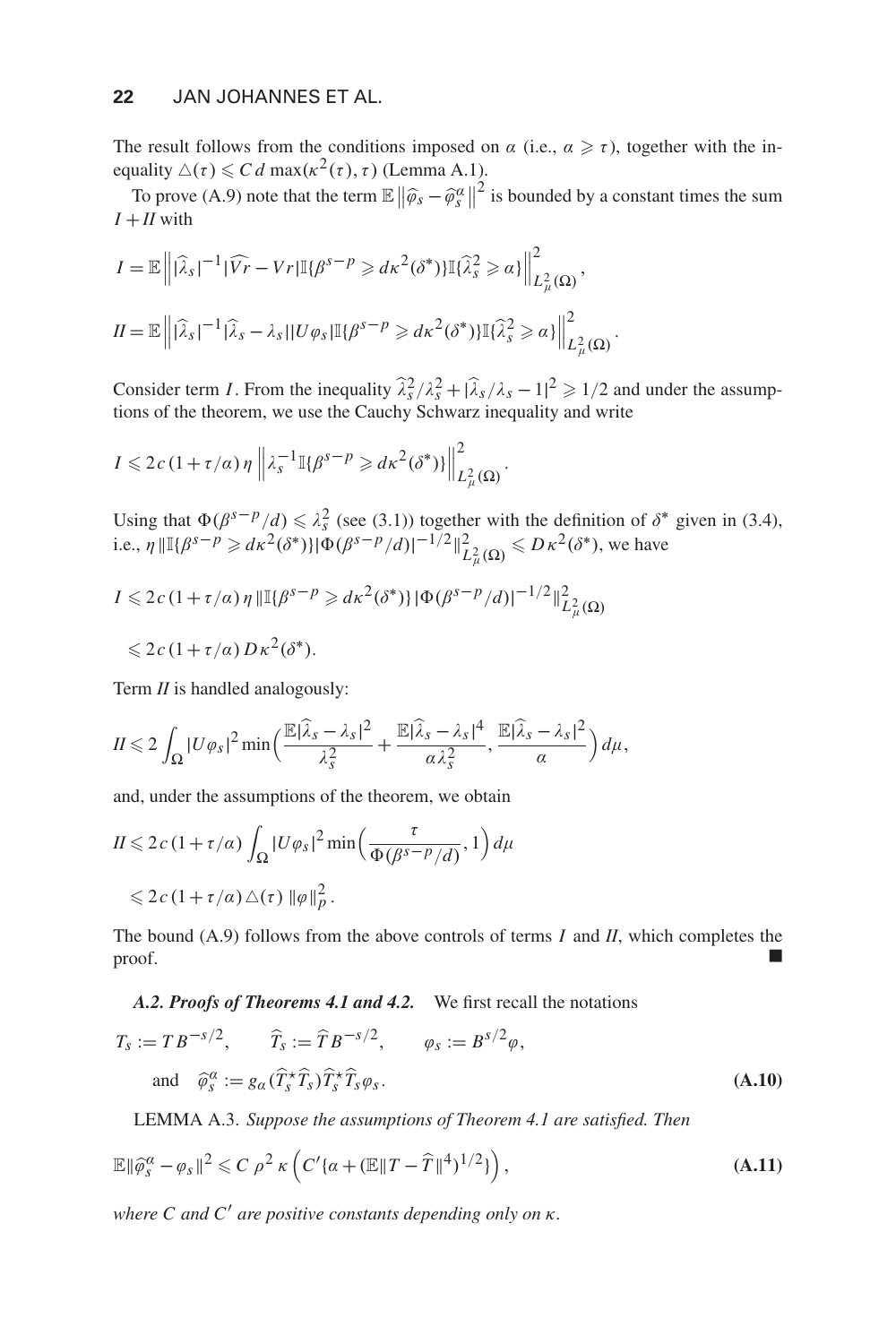## **22** JAN JOHANNES ET AL.

The result follows from the conditions imposed on  $\alpha$  (i.e.,  $\alpha \geq \tau$ ), together with the inequality  $\Delta(\tau) \leq C d \max(\kappa^2(\tau), \tau)$  (Lemma A.1).

To prove (A.9) note that the term  $\mathbb{E} \left\| \widehat{\varphi}_s - \widehat{\varphi}_s^{\alpha} \right\|^2$  is bounded by a constant times the sum  $I + II$  with

$$
I = \mathbb{E} \left\| |\widehat{\lambda}_s|^{-1} |\widehat{V}r - Vr| \mathbb{I} \{ \beta^{s-p} \geq d\kappa^2 (\delta^*) \} \mathbb{I} \{ \widehat{\lambda}_s^2 \geq \alpha \} \right\|_{L^2_{\mu}(\Omega)}^2,
$$
  

$$
II = \mathbb{E} \left\| |\widehat{\lambda}_s|^{-1} |\widehat{\lambda}_s - \lambda_s| |U\varphi_s| \mathbb{I} \{ \beta^{s-p} \geq d\kappa^2 (\delta^*) \} \mathbb{I} \{ \widehat{\lambda}_s^2 \geq \alpha \} \right\|_{L^2_{\mu}(\Omega)}^2.
$$

Consider term *I*. From the inequality  $\hat{\lambda}_s^2/\lambda_s^2 + |\hat{\lambda}_s/\lambda_s - 1|^2 \ge 1/2$  and under the assumptions of the theorem, we use the Cauchy Schwarz inequality and write

$$
I \leq 2c \left(1 + \tau/\alpha\right) \eta \left\| \lambda_s^{-1} \mathbb{I}\{\beta^{s-p} \geq d\kappa^2(\delta^*)\} \right\|_{L^2_{\mu}(\Omega)}^2.
$$

Using that  $\Phi(\beta^{s-p}/d) \le \lambda_s^2$  (see (3.1)) together with the definition of  $\delta^*$  given in (3.4), i.e.,  $\eta \| \mathbb{I} \{ \beta^{s-p} \geq d \kappa^2 (\delta^*) \} | \Phi (\beta^{s-p}/d) |^{-1/2} \|_{L^2_{\mu}(\Omega)}^2 \leqslant D \kappa^2 (\delta^*)$ , we have

$$
I \le 2c (1 + \tau/\alpha) \eta \|\mathbb{I}\{\beta^{s-p} \ge d\kappa^2(\delta^*)\} |\Phi(\beta^{s-p}/d)|^{-1/2}\|_{L^2_{\mu}(\Omega)}^2
$$
  

$$
\le 2c (1 + \tau/\alpha) D\kappa^2(\delta^*).
$$

Term *II* is handled analogously:

$$
II \leq 2 \int_{\Omega} |U \varphi_{S}|^{2} \min \Biggl( \frac{\mathbb{E} |\widehat{\lambda}_{S} - \lambda_{S}|^{2}}{\lambda_{S}^{2}} + \frac{\mathbb{E} |\widehat{\lambda}_{S} - \lambda_{S}|^{4}}{\alpha \lambda_{S}^{2}}, \frac{\mathbb{E} |\widehat{\lambda}_{S} - \lambda_{S}|^{2}}{\alpha} \Biggr) d\mu,
$$

and, under the assumptions of the theorem, we obtain

$$
II \leq 2c (1 + \tau/a) \int_{\Omega} |U \varphi_{s}|^{2} \min \left( \frac{\tau}{\Phi(\beta^{s-p}/d)}, 1 \right) d\mu
$$
  
 
$$
\leq 2c (1 + \tau/a) \triangle(\tau) \| \varphi \|_{p}^{2}.
$$

The bound (A.9) follows from the above controls of terms *I* and *II*, which completes the  $\Box$ 

#### *A.2. Proofs of Theorems 4.1 and 4.2.* We first recall the notations

$$
T_s := T B^{-s/2}, \qquad \widehat{T}_s := \widehat{T} B^{-s/2}, \qquad \varphi_s := B^{s/2} \varphi,
$$
  
and 
$$
\widehat{\varphi}_s^{\alpha} := g_{\alpha} (\widehat{T}_s^{\star} \widehat{T}_s) \widehat{T}_s^{\star} \widehat{T}_s \varphi_s.
$$
 (A.10)

LEMMA A.3. *Suppose the assumptions of Theorem 4.1 are satisfied. Then*

$$
\mathbb{E} \|\widehat{\varphi}_s^{\alpha} - \varphi_s\|^2 \leqslant C \, \rho^2 \, \kappa \left( C' \{ \alpha + (\mathbb{E} \|T - \widehat{T}\|^4)^{1/2} \} \right),\tag{A.11}
$$

*where C and C are positive constants depending only on* κ*.*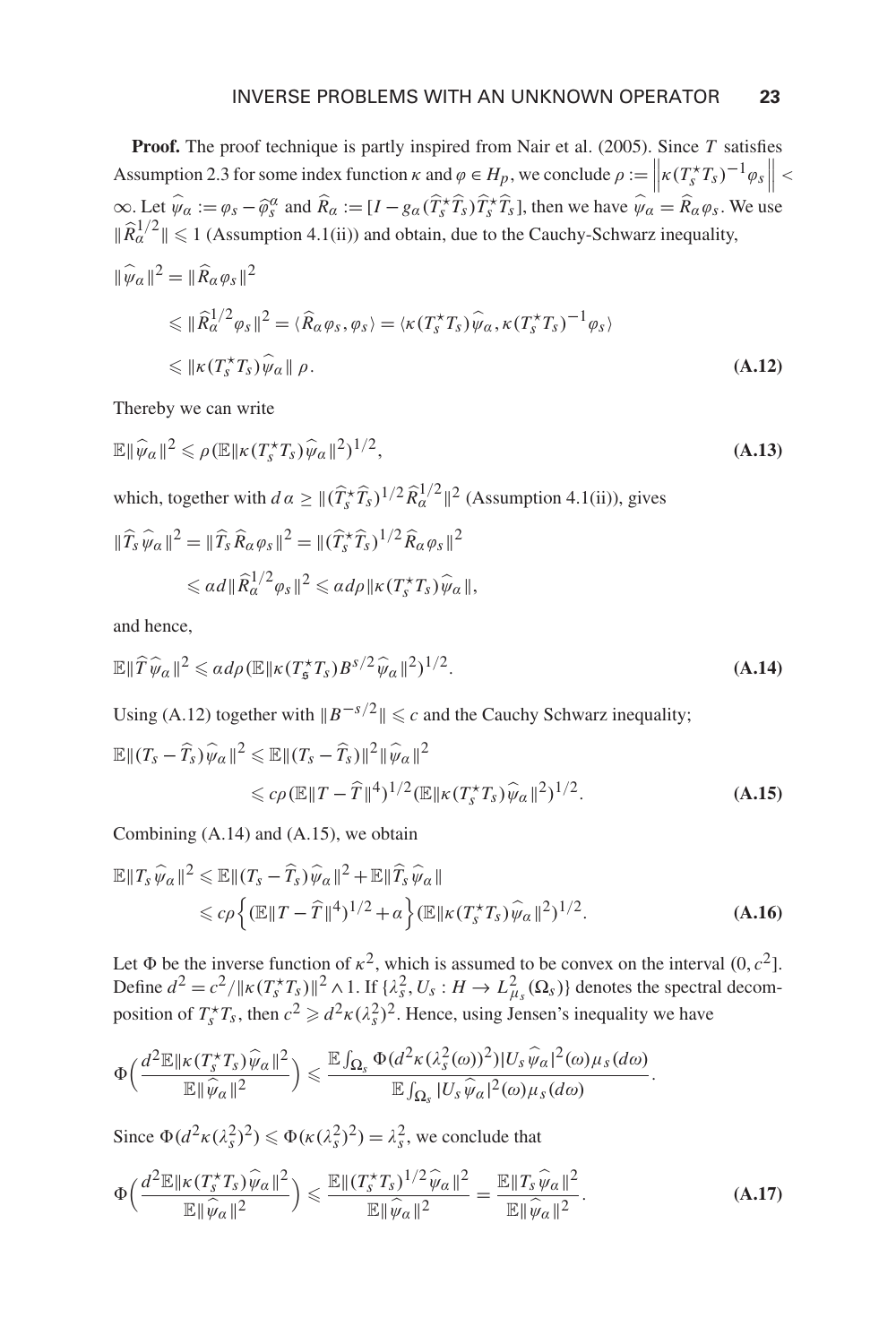**Proof.** The proof technique is partly inspired from Nair et al. (2005). Since *T* satisfies Assumption 2.3 for some index function  $\kappa$  and  $\varphi \in H_p$ , we conclude  $\rho := \left\| \kappa (T_s^* T_s)^{-1} \varphi_s \right\|$  $\infty$ . Let  $\hat{\psi}_\alpha := \varphi_s - \hat{\varphi}_s^\alpha$  and  $\hat{R}_\alpha := [I - g_\alpha(\hat{T}_s^* \hat{T}_s) \hat{T}_s^* \hat{T}_s]$ , then we have  $\hat{\psi}_\alpha = \hat{R}_\alpha \varphi_s$ . We use  $\|\widehat{R}_{\alpha}^{1/2}\| \leq 1$  (Assumption 4.1(ii)) and obtain, due to the Cauchy-Schwarz inequality,  $\frac{1}{2}$   $\frac{2}{2}$   $\frac{2}{2}$   $\frac{2}{2}$ 

$$
\|\psi_{\alpha}\|^{2} = \|R_{\alpha}\varphi_{S}\|^{2}
$$
  
\n
$$
\leq \|\widehat{R}_{\alpha}^{1/2}\varphi_{S}\|^{2} = \langle \widehat{R}_{\alpha}\varphi_{S}, \varphi_{S} \rangle = \langle \kappa(T_{S}^{*}T_{S})\widehat{\psi}_{\alpha}, \kappa(T_{S}^{*}T_{S})^{-1}\varphi_{S} \rangle
$$
  
\n
$$
\leq \|\kappa(T_{S}^{*}T_{S})\widehat{\psi}_{\alpha}\| \rho.
$$
\n(A.12)

Thereby we can write

$$
\mathbb{E} \|\widehat{\psi}_\alpha\|^2 \leqslant \rho \left( \mathbb{E} \|\kappa(T_s^* T_s) \widehat{\psi}_\alpha\|^2 \right)^{1/2},\tag{A.13}
$$

which, together with  $d\alpha \geq ||(\hat{T}_s \hat{T}_s)^{1/2} \hat{R}_\alpha^{1/2}||^2$  (Assumption 4.1(ii)), gives

$$
\begin{aligned} \|\widehat{T}_{s}\,\widehat{\psi}_{\alpha}\|^{2} &= \|\widehat{T}_{s}\,\widehat{R}_{\alpha}\,\varphi_{s}\|^{2} = \|\widehat{(T}_{s}^{\star}\widehat{T}_{s})^{1/2}\,\widehat{R}_{\alpha}\,\varphi_{s}\|^{2} \\ &\leq \alpha\,d\|\widehat{R}_{\alpha}^{1/2}\varphi_{s}\|^{2} \leq \alpha\,d\rho\|\kappa(T_{s}^{\star}T_{s})\,\widehat{\psi}_{\alpha}\|, \end{aligned}
$$

and hence,

$$
\mathbb{E} \|\widehat{T}\widehat{\psi}_{\alpha}\|^{2} \leqslant \alpha d\rho \left(\mathbb{E} \|\kappa(T_{\mathfrak{s}}^{\star}T_{s})B^{s/2}\widehat{\psi}_{\alpha}\|^{2}\right)^{1/2}.
$$
\n(A.14)

Using (A.12) together with  $||B^{-s/2}|| \leq c$  and the Cauchy Schwarz inequality;

$$
\mathbb{E} \|(T_s - \widehat{T}_s)\widehat{\psi}_\alpha\|^2 \leq \mathbb{E} \|(T_s - \widehat{T}_s)\|^2 \|\widehat{\psi}_\alpha\|^2
$$
  
\$\leq c\rho (\mathbb{E} \|T - \widehat{T}\|^4)^{1/2} (\mathbb{E} \| \kappa (T\_s^{\star} T\_s) \widehat{\psi}\_\alpha\|^2)^{1/2}\$. \tag{A.15}

Combining (A.14) and (A.15), we obtain

$$
\mathbb{E} \|T_s \widehat{\psi}_\alpha\|^2 \leq \mathbb{E} \|(T_s - \widehat{T}_s) \widehat{\psi}_\alpha\|^2 + \mathbb{E} \|\widehat{T}_s \widehat{\psi}_\alpha\|
$$
  
\n
$$
\leq c\rho \left\{ (\mathbb{E} \|T - \widehat{T}\|^4)^{1/2} + \alpha \right\} (\mathbb{E} \| \kappa (T_s^* T_s) \widehat{\psi}_\alpha\|^2)^{1/2}.
$$
\n(A.16)

Let  $\Phi$  be the inverse function of  $\kappa^2$ , which is assumed to be convex on the interval  $(0, c^2]$ . Define  $d^2 = c^2 / \| \kappa(T_s \star T_s) \|^2 \wedge 1$ . If  $\{\lambda_s^2, U_s : H \to L^2_{\mu_s}(\Omega_s) \}$  denotes the spectral decomposition of  $T_s^*T_s$ , then  $c^2 \ge d^2 \kappa (\lambda_s^2)^2$ . Hence, using Jensen's inequality we have

$$
\Phi\bigg(\frac{d^2\mathbb{E}\|\kappa(T^*_sT_s)\widehat{\psi}_\alpha\|^2}{\mathbb{E}\|\widehat{\psi}_\alpha\|^2}\bigg) \leqslant \frac{\mathbb{E}\int_{\Omega_s}\Phi(d^2\kappa(\lambda^2_s(\omega))^2)|U_s\widehat{\psi}_\alpha|^2(\omega)\mu_s(d\omega)}{\mathbb{E}\int_{\Omega_s}|U_s\widehat{\psi}_\alpha|^2(\omega)\mu_s(d\omega)}.
$$

Since  $\Phi(d^2\kappa(\lambda_s^2)^2) \le \Phi(\kappa(\lambda_s^2)^2) = \lambda_s^2$ , we conclude that

$$
\Phi\left(\frac{d^2 \mathbb{E} \|\kappa(T_s^* T_s) \widehat{\psi}_\alpha\|^2}{\mathbb{E} \|\widehat{\psi}_\alpha\|^2}\right) \leq \frac{\mathbb{E} \|(T_s^* T_s)^{1/2} \widehat{\psi}_\alpha\|^2}{\mathbb{E} \|\widehat{\psi}_\alpha\|^2} = \frac{\mathbb{E} \|T_s \widehat{\psi}_\alpha\|^2}{\mathbb{E} \|\widehat{\psi}_\alpha\|^2}.
$$
\n(A.17)